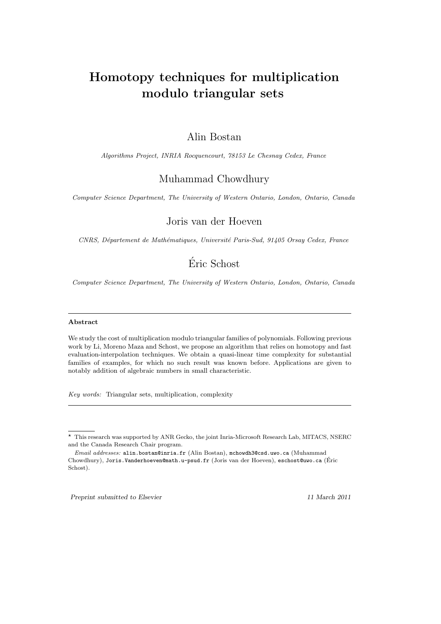# Homotopy techniques for multiplication modulo triangular sets

### Alin Bostan

Algorithms Project, INRIA Rocquencourt, 78153 Le Chesnay Cedex, France

### Muhammad Chowdhury

Computer Science Department, The University of Western Ontario, London, Ontario, Canada

### Joris van der Hoeven

CNRS, Département de Mathématiques, Université Paris-Sud, 91405 Orsay Cedex, France

## Eric Schost ´

Computer Science Department, The University of Western Ontario, London, Ontario, Canada

#### Abstract

We study the cost of multiplication modulo triangular families of polynomials. Following previous work by Li, Moreno Maza and Schost, we propose an algorithm that relies on homotopy and fast evaluation-interpolation techniques. We obtain a quasi-linear time complexity for substantial families of examples, for which no such result was known before. Applications are given to notably addition of algebraic numbers in small characteristic.

Key words: Triangular sets, multiplication, complexity

Preprint submitted to Elsevier 11 March 2011

<sup>?</sup> This research was supported by ANR Gecko, the joint Inria-Microsoft Research Lab, MITACS, NSERC and the Canada Research Chair program.

Email addresses: alin.bostan@inria.fr (Alin Bostan), mchowdh3@csd.uwo.ca (Muhammad Chowdhury), Joris.Vanderhoeven@math.u-psud.fr (Joris van der Hoeven), eschost@uwo.ca (Eric ´ Schost).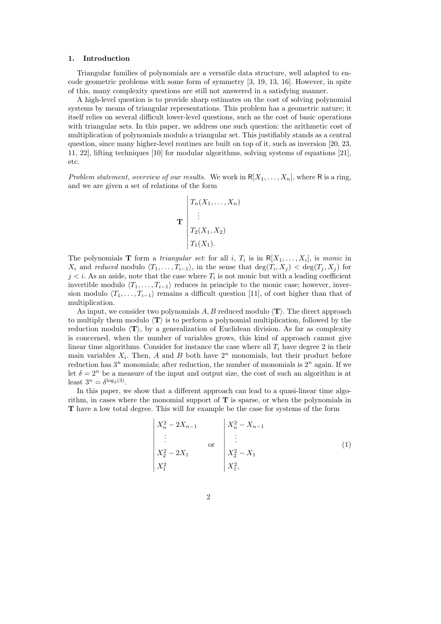#### 1. Introduction

Triangular families of polynomials are a versatile data structure, well adapted to encode geometric problems with some form of symmetry [3, 19, 13, 16]. However, in spite of this, many complexity questions are still not answered in a satisfying manner.

A high-level question is to provide sharp estimates on the cost of solving polynomial systems by means of triangular representations. This problem has a geometric nature; it itself relies on several difficult lower-level questions, such as the cost of basic operations with triangular sets. In this paper, we address one such question: the arithmetic cost of multiplication of polynomials modulo a triangular set. This justifiably stands as a central question, since many higher-level routines are built on top of it, such as inversion [20, 23, 11, 22], lifting techniques [10] for modular algorithms, solving systems of equations [21], etc.

Problem statement, overview of our results. We work in  $R[X_1, \ldots, X_n]$ , where R is a ring, and we are given a set of relations of the form

$$
\mathbf{T} \begin{bmatrix} T_n(X_1,\ldots,X_n) \\ \vdots \\ T_2(X_1,X_2) \\ T_1(X_1). \end{bmatrix}
$$

The polynomials **T** form a *triangular set*: for all i,  $T_i$  is in  $R[X_1, \ldots, X_i]$ , is monic in  $X_i$  and reduced modulo  $\langle T_1, \ldots, T_{i-1} \rangle$ , in the sense that  $\deg(T_i, X_j) < \deg(T_j, X_j)$  for  $j \lt i$ . As an aside, note that the case where  $T_i$  is not monic but with a leading coefficient invertible modulo  $\langle T_1, \ldots, T_{i-1} \rangle$  reduces in principle to the monic case; however, inversion modulo  $\langle T_1, \ldots, T_{i-1} \rangle$  remains a difficult question [11], of cost higher than that of multiplication.

As input, we consider two polynomials  $A, B$  reduced modulo  $\langle T \rangle$ . The direct approach to multiply them modulo  $\langle T \rangle$  is to perform a polynomial multiplication, followed by the reduction modulo  $\langle T \rangle$ , by a generalization of Euclidean division. As far as complexity is concerned, when the number of variables grows, this kind of approach cannot give linear time algorithms. Consider for instance the case where all  $T_i$  have degree 2 in their main variables  $X_i$ . Then, A and B both have  $2^n$  monomials, but their product before reduction has  $3<sup>n</sup>$  monomials; after reduction, the number of monomials is  $2<sup>n</sup>$  again. If we let  $\delta = 2^n$  be a measure of the input and output size, the cost of such an algorithm is at least  $3^n = \delta^{\log_2(3)}$ .

In this paper, we show that a different approach can lead to a quasi-linear time algorithm, in cases where the monomial support of  $T$  is sparse, or when the polynomials in T have a low total degree. This will for example be the case for systems of the form

$$
\begin{vmatrix} X_n^2 - 2X_{n-1} & & X_n^2 - X_{n-1} \\ \vdots & & \text{or} \\ X_2^2 - 2X_1 & & X_2^2 - X_1 \\ X_1^2 & & & X_1^2, \end{vmatrix}
$$
 (1)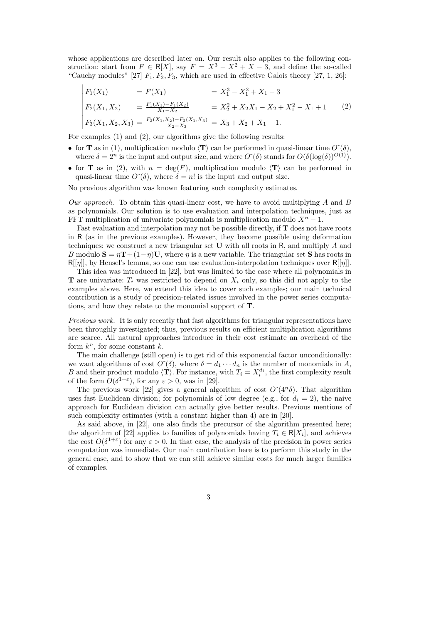whose applications are described later on. Our result also applies to the following construction: start from  $F \in R[X]$ , say  $F = X^3 - X^2 + X - 3$ , and define the so-called "Cauchy modules" [27]  $F_1, F_2, F_3$ , which are used in effective Galois theory [27, 1, 26]:

$$
\begin{vmatrix}\nF_1(X_1) & = F(X_1) & = X_1^3 - X_1^2 + X_1 - 3 \\
F_2(X_1, X_2) & = \frac{F_1(X_1) - F_1(X_2)}{X_1 - X_2} & = X_2^2 + X_2X_1 - X_2 + X_1^2 - X_1 + 1\n\end{vmatrix} = X_1^2(X_1, X_2, X_3) = \frac{F_2(X_1, X_2) - F_2(X_1, X_3)}{X_2 - X_3} = X_3 + X_2 + X_1 - 1.
$$
\n(2)

For examples (1) and (2), our algorithms give the following results:

- for **T** as in (1), multiplication modulo  $\langle \mathbf{T} \rangle$  can be performed in quasi-linear time  $O^*(\delta)$ , where  $\delta = 2^n$  is the input and output size, and where  $O^{\gamma}(\delta)$  stands for  $O(\delta(\log(\delta))^{O(1)})$ .
- for **T** as in (2), with  $n = \deg(F)$ , multiplication modulo  $\langle T \rangle$  can be performed in quasi-linear time  $O^{\sim}(\delta)$ , where  $\delta = n!$  is the input and output size.

No previous algorithm was known featuring such complexity estimates.

Our approach. To obtain this quasi-linear cost, we have to avoid multiplying  $A$  and  $B$ as polynomials. Our solution is to use evaluation and interpolation techniques, just as FFT multiplication of univariate polynomials is multiplication modulo  $X<sup>n</sup> - 1$ .

Fast evaluation and interpolation may not be possible directly, if  $T$  does not have roots in R (as in the previous examples). However, they become possible using deformation techniques: we construct a new triangular set U with all roots in R, and multiply A and B modulo  $S = \eta T + (1 - \eta)U$ , where  $\eta$  is a new variable. The triangular set S has roots in  $R[[\eta]]$ , by Hensel's lemma, so one can use evaluation-interpolation techniques over  $R[[\eta]]$ .

This idea was introduced in [22], but was limited to the case where all polynomials in **T** are univariate:  $T_i$  was restricted to depend on  $X_i$  only, so this did not apply to the examples above. Here, we extend this idea to cover such examples; our main technical contribution is a study of precision-related issues involved in the power series computations, and how they relate to the monomial support of T.

Previous work. It is only recently that fast algorithms for triangular representations have been throughly investigated; thus, previous results on efficient multiplication algorithms are scarce. All natural approaches introduce in their cost estimate an overhead of the form  $k^n$ , for some constant k.

The main challenge (still open) is to get rid of this exponential factor unconditionally: we want algorithms of cost  $O^{\sim}(\delta)$ , where  $\delta = d_1 \cdots d_n$  is the number of monomials in A, B and their product modulo  $\langle \mathbf{T} \rangle$ . For instance, with  $T_i = X_i^{d_i}$ , the first complexity result of the form  $O(\delta^{1+\epsilon})$ , for any  $\epsilon > 0$ , was in [29].

The previous work [22] gives a general algorithm of cost  $O^{\sim}(4^{n}\delta)$ . That algorithm uses fast Euclidean division; for polynomials of low degree (e.g., for  $d_i = 2$ ), the naive approach for Euclidean division can actually give better results. Previous mentions of such complexity estimates (with a constant higher than 4) are in [20].

As said above, in [22], one also finds the precursor of the algorithm presented here; the algorithm of [22] applies to families of polynomials having  $T_i \in \mathsf{R}[X_i]$ , and achieves the cost  $O(\delta^{1+\epsilon})$  for any  $\varepsilon > 0$ . In that case, the analysis of the precision in power series computation was immediate. Our main contribution here is to perform this study in the general case, and to show that we can still achieve similar costs for much larger families of examples.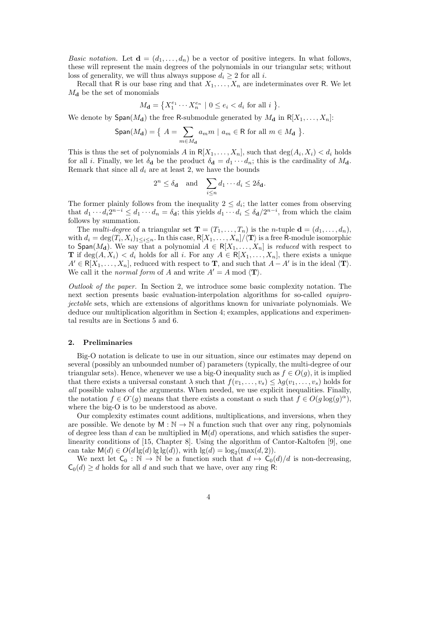*Basic notation.* Let  $\mathbf{d} = (d_1, \ldots, d_n)$  be a vector of positive integers. In what follows, these will represent the main degrees of the polynomials in our triangular sets; without loss of generality, we will thus always suppose  $d_i \geq 2$  for all i.

Recall that R is our base ring and that  $X_1, \ldots, X_n$  are indeterminates over R. We let  $M_{\mathbf{d}}$  be the set of monomials

$$
M_{\mathbf{d}} = \left\{ X_1^{e_1} \cdots X_n^{e_n} \mid 0 \le e_i < d_i \text{ for all } i \right\}.
$$

We denote by  $\textsf{Span}(M_{\mathbf{d}})$  the free R-submodule generated by  $M_{\mathbf{d}}$  in  $R[X_1, \ldots, X_n]$ :

$$
\text{Span}(M_{\mathbf{d}}) = \left\{ \ A = \sum_{m \in M_{\mathbf{d}}} a_m m \ | \ a_m \in \mathsf{R} \text{ for all } m \in M_{\mathbf{d}} \ \right\}.
$$

This is thus the set of polynomials A in  $R[X_1, \ldots, X_n]$ , such that  $\deg(A_i, X_i) < d_i$  holds for all *i*. Finally, we let  $\delta_{\bf d}$  be the product  $\delta_{\bf d} = d_1 \cdots d_n$ ; this is the cardinality of  $M_{\bf d}$ . Remark that since all  $d_i$  are at least 2, we have the bounds

$$
2^n \le \delta_{\mathbf{d}}
$$
 and  $\sum_{i \le n} d_1 \cdots d_i \le 2\delta_{\mathbf{d}}$ .

The former plainly follows from the inequality  $2 \leq d_i$ ; the latter comes from observing that  $d_1 \cdots d_i 2^{n-i} \leq d_1 \cdots d_n = \delta_{\mathbf{d}}$ ; this yields  $d_1 \cdots d_i \leq \delta_{\mathbf{d}}/2^{n-i}$ , from which the claim follows by summation.

The *multi-degree* of a triangular set  $\mathbf{T} = (T_1, \ldots, T_n)$  is the *n*-tuple  $\mathbf{d} = (d_1, \ldots, d_n)$ , with  $d_i = \deg(T_i, X_i)_{1 \leq i \leq n}$ . In this case,  $R[X_1, \ldots, X_n]/\langle \mathbf{T} \rangle$  is a free R-module isomorphic to Span( $M_{\bf d}$ ). We say that a polynomial  $A \in R[X_1,\ldots,X_n]$  is *reduced* with respect to **T** if deg(A,  $X_i$ ) <  $d_i$  holds for all i. For any  $A \in R[X_1, \ldots, X_n]$ , there exists a unique  $A' \in R[X_1, \ldots, X_n]$ , reduced with respect to **T**, and such that  $A - A'$  is in the ideal  $\langle \mathbf{T} \rangle$ . We call it the *normal form* of A and write  $A' = A \text{ mod } \langle \mathbf{T} \rangle$ .

Outlook of the paper. In Section 2, we introduce some basic complexity notation. The next section presents basic evaluation-interpolation algorithms for so-called equiprojectable sets, which are extensions of algorithms known for univariate polynomials. We deduce our multiplication algorithm in Section 4; examples, applications and experimental results are in Sections 5 and 6.

#### 2. Preliminaries

Big-O notation is delicate to use in our situation, since our estimates may depend on several (possibly an unbounded number of) parameters (typically, the multi-degree of our triangular sets). Hence, whenever we use a big-O inequality such as  $f \in O(g)$ , it is implied that there exists a universal constant  $\lambda$  such that  $f(v_1, \ldots, v_s) \leq \lambda g(v_1, \ldots, v_s)$  holds for all possible values of the arguments. When needed, we use explicit inequalities. Finally, the notation  $f \in O^{\sim}(g)$  means that there exists a constant  $\alpha$  such that  $f \in O(g \log(g)^{\alpha})$ , where the big-O is to be understood as above.

Our complexity estimates count additions, multiplications, and inversions, when they are possible. We denote by  $M : \mathbb{N} \to \mathbb{N}$  a function such that over any ring, polynomials of degree less than d can be multiplied in  $M(d)$  operations, and which satisfies the superlinearity conditions of [15, Chapter 8]. Using the algorithm of Cantor-Kaltofen [9], one can take  $\mathsf{M}(d) \in O(d \lg(d) \lg \lg(d)),$  with  $\lg(d) = \log_2(\max(d, 2)).$ 

We next let  $C_0 : \mathbb{N} \to \mathbb{N}$  be a function such that  $d \mapsto C_0(d)/d$  is non-decreasing,  $C_0(d) \geq d$  holds for all d and such that we have, over any ring R:

$$
\overline{4}
$$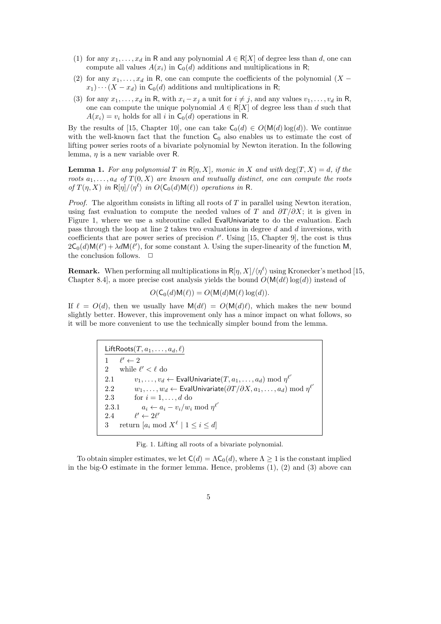- (1) for any  $x_1, \ldots, x_d$  in R and any polynomial  $A \in R[X]$  of degree less than d, one can compute all values  $A(x_i)$  in  $C_0(d)$  additions and multiplications in R;
- (2) for any  $x_1, \ldots, x_d$  in R, one can compute the coefficients of the polynomial  $(X$  $x_1)\cdots(X-x_d)$  in  $\mathsf{C}_0(d)$  additions and multiplications in R;
- (3) for any  $x_1, \ldots, x_d$  in R, with  $x_i x_j$  a unit for  $i \neq j$ , and any values  $v_1, \ldots, v_d$  in R, one can compute the unique polynomial  $A \in R[X]$  of degree less than d such that  $A(x_i) = v_i$  holds for all i in  $C_0(d)$  operations in R.

By the results of [15, Chapter 10], one can take  $C_0(d) \in O(M(d) \log(d))$ . We continue with the well-known fact that the function  $C_0$  also enables us to estimate the cost of lifting power series roots of a bivariate polynomial by Newton iteration. In the following lemma,  $\eta$  is a new variable over R.

**Lemma 1.** For any polynomial T in  $R[\eta, X]$ , monic in X and with  $\deg(T, X) = d$ , if the roots  $a_1, \ldots, a_d$  of  $T(0, X)$  are known and mutually distinct, one can compute the roots of  $T(\eta, X)$  in  $\mathsf{R}[\eta]/\langle \eta^{\ell} \rangle$  in  $O(\mathsf{C}_0(d)\mathsf{M}(\ell))$  operations in R.

*Proof.* The algorithm consists in lifting all roots of  $T$  in parallel using Newton iteration, using fast evaluation to compute the needed values of T and  $\frac{\partial T}{\partial X}$ ; it is given in Figure 1, where we use a subroutine called EvalUnivariate to do the evaluation. Each pass through the loop at line 2 takes two evaluations in degree d and d inversions, with coefficients that are power series of precision  $\ell'$ . Using [15, Chapter 9], the cost is thus  $2\mathsf{C}_0(d)\mathsf{M}(\ell') + \lambda d\mathsf{M}(\ell')$ , for some constant  $\lambda$ . Using the super-linearity of the function M, the conclusion follows.  $\quad \Box$ 

**Remark.** When performing all multiplications in  $R[\eta, X]/\langle \eta^{\ell} \rangle$  using Kronecker's method [15, Chapter 8.4], a more precise cost analysis yields the bound  $O(M(d\ell) \log(d))$  instead of

$$
O(\mathsf{C}_0(d)\mathsf{M}(\ell)) = O(\mathsf{M}(d)\mathsf{M}(\ell)\log(d)).
$$

If  $\ell = O(d)$ , then we usually have  $M(d\ell) = O(M(d)\ell)$ , which makes the new bound slightly better. However, this improvement only has a minor impact on what follows, so it will be more convenient to use the technically simpler bound from the lemma.

> LiftRoots $(T, a_1, \ldots, a_d, \ell)$ 1  $\ell' \leftarrow 2$ 2 while  $\ell' < \ell$  do 2.1  $v_1, \ldots, v_d \leftarrow \mathsf{EvalUnivariate}(T, a_1, \ldots, a_d) \bmod \eta^{\ell'}$ 2.2  $w_1, \ldots, w_d \leftarrow \mathsf{EvalUnivariate}(\partial T / \partial X, a_1, \ldots, a_d) \bmod \eta^{\ell'}$ 2.3 for  $i = 1, \ldots, d$  do 2.3.1  $a_i \leftarrow a_i - v_i/w_i \mod \eta^{\ell'}$ 2.4  $\ell' \leftarrow 2\ell'$ 3 return  $[a_i \bmod X^\ell \mid 1 \leq i \leq d]$

Fig. 1. Lifting all roots of a bivariate polynomial.

To obtain simpler estimates, we let  $\mathsf{C}(d) = \Lambda \mathsf{C}_0(d)$ , where  $\Lambda \geq 1$  is the constant implied in the big-O estimate in the former lemma. Hence, problems  $(1)$ ,  $(2)$  and  $(3)$  above can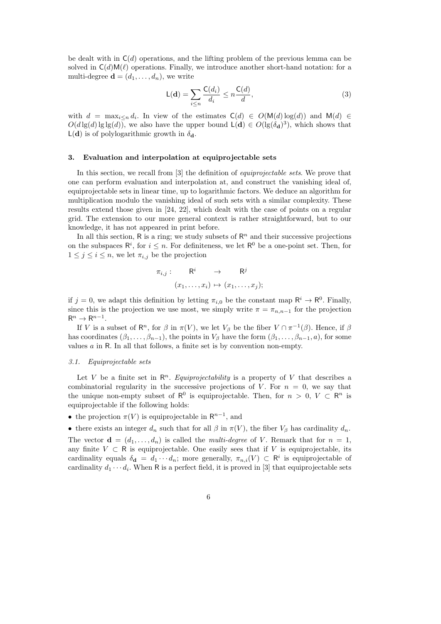be dealt with in  $C(d)$  operations, and the lifting problem of the previous lemma can be solved in  $C(d)M(\ell)$  operations. Finally, we introduce another short-hand notation: for a multi-degree  $\mathbf{d} = (d_1, \ldots, d_n)$ , we write

$$
\mathsf{L}(\mathbf{d}) = \sum_{i \le n} \frac{\mathsf{C}(d_i)}{d_i} \le n \frac{\mathsf{C}(d)}{d},\tag{3}
$$

with  $d = \max_{i \leq n} d_i$ . In view of the estimates  $C(d) \in O(M(d) \log(d))$  and  $M(d) \in$  $O(d\lg(d)\lg\lg(d))$ , we also have the upper bound  $\mathsf{L}(\mathbf{d}) \in O(\lg(\delta_{\mathbf{d}})^3)$ , which shows that  $L(\mathbf{d})$  is of polylogarithmic growth in  $\delta_{\mathbf{d}}$ .

#### 3. Evaluation and interpolation at equiprojectable sets

In this section, we recall from [3] the definition of *equiprojectable sets*. We prove that one can perform evaluation and interpolation at, and construct the vanishing ideal of, equiprojectable sets in linear time, up to logarithmic factors. We deduce an algorithm for multiplication modulo the vanishing ideal of such sets with a similar complexity. These results extend those given in [24, 22], which dealt with the case of points on a regular grid. The extension to our more general context is rather straightforward, but to our knowledge, it has not appeared in print before.

In all this section,  $\mathsf{R}$  is a ring; we study subsets of  $\mathsf{R}^n$  and their successive projections on the subspaces  $\mathsf{R}^i$ , for  $i \leq n$ . For definiteness, we let  $\mathsf{R}^0$  be a one-point set. Then, for  $1 \leq j \leq i \leq n$ , we let  $\pi_{i,j}$  be the projection

$$
\pi_{i,j} : \mathsf{R}^i \rightarrow \mathsf{R}^j
$$

$$
(x_1, \dots, x_i) \mapsto (x_1, \dots, x_j);
$$

if  $j = 0$ , we adapt this definition by letting  $\pi_{i,0}$  be the constant map  $\mathsf{R}^i \to \mathsf{R}^0$ . Finally, since this is the projection we use most, we simply write  $\pi = \pi_{n,n-1}$  for the projection  $\mathsf{R}^n \to \mathsf{R}^{n-1}.$ 

If V is a subset of  $\mathsf{R}^n$ , for  $\beta$  in  $\pi(V)$ , we let  $V_\beta$  be the fiber  $V \cap \pi^{-1}(\beta)$ . Hence, if  $\beta$ has coordinates  $(\beta_1, \ldots, \beta_{n-1})$ , the points in  $V_\beta$  have the form  $(\beta_1, \ldots, \beta_{n-1}, a)$ , for some values  $a$  in R. In all that follows, a finite set is by convention non-empty.

#### 3.1. Equiprojectable sets

Let V be a finite set in  $\mathbb{R}^n$ . *Equiprojectability* is a property of V that describes a combinatorial regularity in the successive projections of V. For  $n = 0$ , we say that the unique non-empty subset of  $\mathsf{R}^0$  is equiprojectable. Then, for  $n > 0$ ,  $V \subset \mathsf{R}^n$  is equiprojectable if the following holds:

• the projection  $\pi(V)$  is equiprojectable in  $\mathsf{R}^{n-1}$ , and

• there exists an integer  $d_n$  such that for all  $\beta$  in  $\pi(V)$ , the fiber  $V_\beta$  has cardinality  $d_n$ .

The vector  $\mathbf{d} = (d_1, \ldots, d_n)$  is called the *multi-degree* of V. Remark that for  $n = 1$ , any finite  $V \subset \mathbb{R}$  is equiprojectable. One easily sees that if V is equiprojectable, its cardinality equals  $\delta_{\mathbf{d}} = d_1 \cdots d_n$ ; more generally,  $\pi_{n,i}(V) \subset \mathbb{R}^i$  is equiprojectable of cardinality  $d_1 \cdots d_i$ . When R is a perfect field, it is proved in [3] that equiprojectable sets

6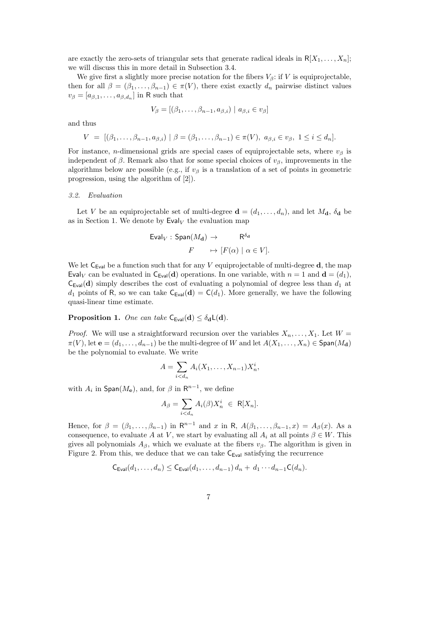are exactly the zero-sets of triangular sets that generate radical ideals in  $R[X_1, \ldots, X_n]$ ; we will discuss this in more detail in Subsection 3.4.

We give first a slightly more precise notation for the fibers  $V_\beta$ : if V is equiprojectable, then for all  $\beta = (\beta_1, \ldots, \beta_{n-1}) \in \pi(V)$ , there exist exactly  $d_n$  pairwise distinct values  $v_{\beta} = [a_{\beta,1}, \ldots, a_{\beta,d_n}]$  in R such that

$$
V_{\beta} = [(\beta_1, \dots, \beta_{n-1}, a_{\beta,i}) \mid a_{\beta,i} \in v_{\beta}]
$$

and thus

$$
V = [(\beta_1, ..., \beta_{n-1}, a_{\beta,i}) \mid \beta = (\beta_1, ..., \beta_{n-1}) \in \pi(V), a_{\beta,i} \in v_{\beta}, 1 \le i \le d_n].
$$

For instance, *n*-dimensional grids are special cases of equiprojectable sets, where  $v_\beta$  is independent of  $\beta$ . Remark also that for some special choices of  $v_{\beta}$ , improvements in the algorithms below are possible (e.g., if  $v_\beta$  is a translation of a set of points in geometric progression, using the algorithm of [2]).

#### 3.2. Evaluation

Let V be an equiprojectable set of multi-degree  $\mathbf{d} = (d_1, \ldots, d_n)$ , and let  $M_{\mathbf{d}}, \delta_{\mathbf{d}}$  be as in Section 1. We denote by  $\textsf{Eval}_V$  the evaluation map

$$
\begin{aligned}\n\text{Eval}_V: \text{Span}(M_{\mathbf{d}}) &\to & \mathsf{R}^{\delta_{\mathbf{d}}} \\
F &\mapsto [F(\alpha) \mid \alpha \in V].\n\end{aligned}
$$

We let  $C_{Eval}$  be a function such that for any V equiprojectable of multi-degree d, the map Evaly can be evaluated in  $C_{Eval}(d)$  operations. In one variable, with  $n = 1$  and  $d = (d_1)$ ,  $C_{Eval}(d)$  simply describes the cost of evaluating a polynomial of degree less than  $d_1$  at  $d_1$  points of R, so we can take  $C_{Eval}(d) = C(d_1)$ . More generally, we have the following quasi-linear time estimate.

**Proposition 1.** One can take  $C_{Eval}(d) \leq \delta_d L(d)$ .

*Proof.* We will use a straightforward recursion over the variables  $X_n, \ldots, X_1$ . Let  $W =$  $\pi(V)$ , let  $\mathbf{e} = (d_1, \ldots, d_{n-1})$  be the multi-degree of W and let  $A(X_1, \ldots, X_n) \in \text{Span}(M_{\mathbf{d}})$ be the polynomial to evaluate. We write

$$
A = \sum_{i < d_n} A_i(X_1, \dots, X_{n-1}) X_n^i,
$$

with  $A_i$  in  $\textsf{Span}(M_e)$ , and, for  $\beta$  in  $\mathsf{R}^{n-1}$ , we define

$$
A_{\beta} = \sum_{i < d_n} A_i(\beta) X_n^i \in \mathsf{R}[X_n].
$$

Hence, for  $\beta = (\beta_1, \ldots, \beta_{n-1})$  in  $\mathbb{R}^{n-1}$  and x in  $\mathbb{R}$ ,  $A(\beta_1, \ldots, \beta_{n-1}, x) = A_{\beta}(x)$ . As a consequence, to evaluate A at V, we start by evaluating all  $A_i$  at all points  $\beta \in W$ . This gives all polynomials  $A_\beta$ , which we evaluate at the fibers  $v_\beta$ . The algorithm is given in Figure 2. From this, we deduce that we can take  $C_{Eval}$  satisfying the recurrence

$$
\mathsf{C}_{\mathsf{Eval}}(d_1,\ldots,d_n) \leq \mathsf{C}_{\mathsf{Eval}}(d_1,\ldots,d_{n-1}) d_n + d_1 \cdots d_{n-1} \mathsf{C}(d_n).
$$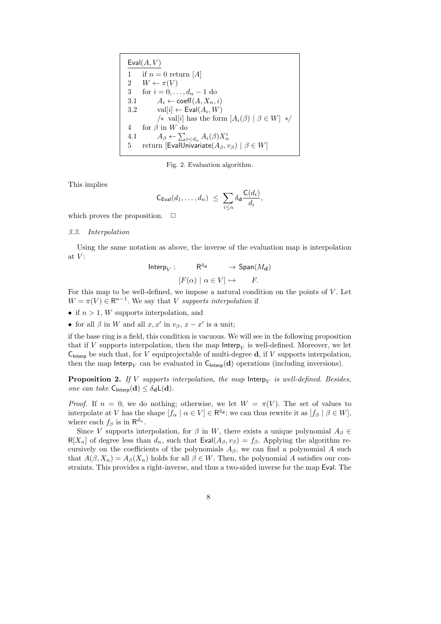| Eval(A, V) |                                                                   |  |
|------------|-------------------------------------------------------------------|--|
| 1          | if $n=0$ return [A]                                               |  |
|            | 2 $W \leftarrow \pi(V)$                                           |  |
| 3          | for $i = 0, , d_n - 1$ do                                         |  |
| 3.1        | $A_i \leftarrow \text{coeff}(A, X_n, i)$                          |  |
| 3.2        | $val[i] \leftarrow \text{Eval}(A_i, W)$                           |  |
|            | /* val[i] has the form $[A_i(\beta)   \beta \in W]$ */            |  |
| 4          | for $\beta$ in W do                                               |  |
| 4.1        | $A_{\beta} \leftarrow \sum_{i \leq d_n} A_i(\beta) X_n^i$         |  |
| 5          | return [EvalUnivariate $(A_{\beta}, v_{\beta})$   $\beta \in W$ ] |  |

Fig. 2. Evaluation algorithm.

This implies

$$
\mathsf{C}_{\mathsf{Eval}}(d_1,\ldots,d_n) \ \leq \ \sum_{i\leq n} \delta_{\mathbf{d}} \frac{\mathsf{C}(d_i)}{d_i},
$$

which proves the proposition.  $\Box$ 

#### 3.3. Interpolation

Using the same notation as above, the inverse of the evaluation map is interpolation at  $V$ :

$$
\begin{aligned} \text{Interp}_V: \qquad & \mathsf{R}^{\delta_{\mathbf{d}}} & \to \text{Span}(M_{\mathbf{d}}) \\ [F(\alpha) \mid \alpha \in V] & \mapsto & F. \end{aligned}
$$

For this map to be well-defined, we impose a natural condition on the points of  $V$ . Let  $W = \pi(V) \in \mathbb{R}^{n-1}$ . We say that V supports interpolation if

• if  $n > 1$ , W supports interpolation, and

• for all  $\beta$  in W and all  $x, x'$  in  $v_{\beta}, x - x'$  is a unit;

if the base ring is a field, this condition is vacuous. We will see in the following proposition that if V supports interpolation, then the map  $\mathsf{Interp}_V$  is well-defined. Moreover, we let  $C_{\text{Interp}}$  be such that, for V equiprojectable of multi-degree **d**, if V supports interpolation, then the map Interp<sub>V</sub> can be evaluated in  $C_{\text{Interp}}(d)$  operations (including inversions).

**Proposition 2.** If V supports interpolation, the map  $\mathsf{Interp}_V$  is well-defined. Besides, one can take  $C_{\text{Interp}}(d) \leq \delta_d L(d)$ .

*Proof.* If  $n = 0$ , we do nothing; otherwise, we let  $W = \pi(V)$ . The set of values to interpolate at V has the shape  $[f_{\alpha} \mid \alpha \in V] \in \mathsf{R}^{\delta_d}$ ; we can thus rewrite it as  $[f_{\beta} \mid \beta \in W]$ , where each  $f_\beta$  is in  $\mathsf{R}^{d_n}$ .

Since V supports interpolation, for  $\beta$  in W, there exists a unique polynomial  $A_{\beta} \in$  $R[X_n]$  of degree less than  $d_n$ , such that  $Eval(A_\beta, v_\beta) = f_\beta$ . Applying the algorithm recursively on the coefficients of the polynomials  $A_\beta$ , we can find a polynomial A such that  $A(\beta, X_n) = A_\beta(X_n)$  holds for all  $\beta \in W$ . Then, the polynomial A satisfies our constraints. This provides a right-inverse, and thus a two-sided inverse for the map Eval. The

8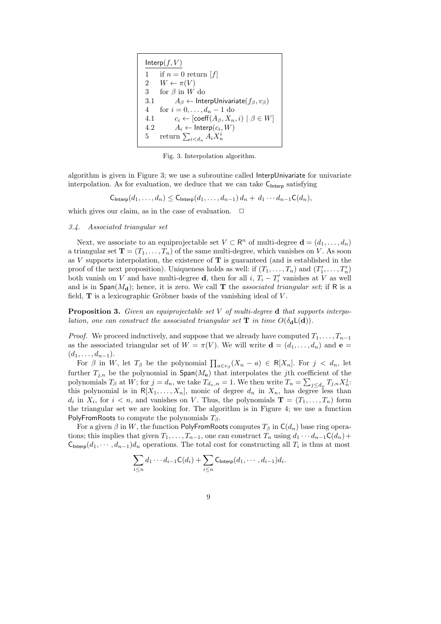| Interp(f, V) |                                                                     |  |
|--------------|---------------------------------------------------------------------|--|
| 1            | if $n=0$ return [f]                                                 |  |
|              | 2 $W \leftarrow \pi(V)$                                             |  |
| 3            | for $\beta$ in W do                                                 |  |
| 3.1          | $A_{\beta} \leftarrow$ InterpUnivariate( $f_{\beta}, v_{\beta}$ )   |  |
| 4            | for $i = 0, , d_n - 1$ do                                           |  |
| 4.1          | $c_i \leftarrow [\text{coeff}(A_{\beta}, X_n, i) \mid \beta \in W]$ |  |
| 4.2          | $A_i \leftarrow \mathsf{Interp}(c_i, W)$                            |  |
| 5.           | return $\sum_{i$                                                    |  |

Fig. 3. Interpolation algorithm.

algorithm is given in Figure 3; we use a subroutine called InterpUnivariate for univariate interpolation. As for evaluation, we deduce that we can take  $C_{\text{Interp}}$  satisfying

$$
\mathsf{C}_{\mathsf{Interp}}(d_1,\ldots,d_n) \leq \mathsf{C}_{\mathsf{Interp}}(d_1,\ldots,d_{n-1}) d_n + d_1 \cdots d_{n-1} \mathsf{C}(d_n),
$$

which gives our claim, as in the case of evaluation.  $\Box$ 

#### 3.4. Associated triangular set

Next, we associate to an equiprojectable set  $V \subset \mathbb{R}^n$  of multi-degree  $\mathbf{d} = (d_1, \ldots, d_n)$ a triangular set  $\mathbf{T} = (T_1, \ldots, T_n)$  of the same multi-degree, which vanishes on V. As soon as  $V$  supports interpolation, the existence of  $T$  is guaranteed (and is established in the proof of the next proposition). Uniqueness holds as well: if  $(T_1, \ldots, T_n)$  and  $(T'_1, \ldots, T'_n)$ both vanish on V and have multi-degree **d**, then for all  $i, T_i - T'_i$  vanishes at V as well and is in  $Span(M_d)$ ; hence, it is zero. We call **T** the *associated triangular set*; if R is a field,  **is a lexicographic Gröbner basis of the vanishing ideal of**  $V$ **.** 

**Proposition 3.** Given an equiprojectable set  $V$  of multi-degree  $d$  that supports interpolation, one can construct the associated triangular set  $T$  in time  $O(\delta_d L(d))$ .

*Proof.* We proceed inductively, and suppose that we already have computed  $T_1, \ldots, T_{n-1}$ as the associated triangular set of  $W = \pi(V)$ . We will write  $\mathbf{d} = (d_1, \ldots, d_n)$  and  $\mathbf{e} =$  $(d_1, \ldots, d_{n-1}).$ 

For  $\beta$  in W, let  $T_{\beta}$  be the polynomial  $\prod_{a\in v_{\beta}}(X_n-a)\in R[X_n]$ . For  $j < d_n$ , let further  $T_{j,n}$  be the polynomial in  $\text{Span}(M_e)$  that interpolates the jth coefficient of the polynomials  $T_\beta$  at W; for  $j = d_n$ , we take  $T_{d_n, n} = 1$ . We then write  $T_n = \sum_{j \leq d_n} T_{j,n} X_n^j$ . this polynomial is in  $R[X_1, \ldots, X_n]$ , monic of degree  $d_n$  in  $X_n$ , has degree less than  $d_i$  in  $X_i$ , for  $i < n$ , and vanishes on V. Thus, the polynomials  $\mathbf{T} = (T_1, \ldots, T_n)$  form the triangular set we are looking for. The algorithm is in Figure 4; we use a function PolyFromRoots to compute the polynomials  $T_\beta$ .

For a given  $\beta$  in W, the function PolyFromRoots computes  $T_\beta$  in  $C(d_n)$  base ring operations; this implies that given  $T_1, \ldots, T_{n-1}$ , one can construct  $T_n$  using  $d_1 \cdots d_{n-1}C(d_n)$  + C<sub>Interp</sub> $(d_1, \dots, d_{n-1})d_n$  operations. The total cost for constructing all  $T_i$  is thus at most

$$
\sum_{i\leq n}d_1\cdots d_{i-1}C(d_i)+\sum_{i\leq n}C_{\text{Interp}}(d_1,\cdots,d_{i-1})d_i.
$$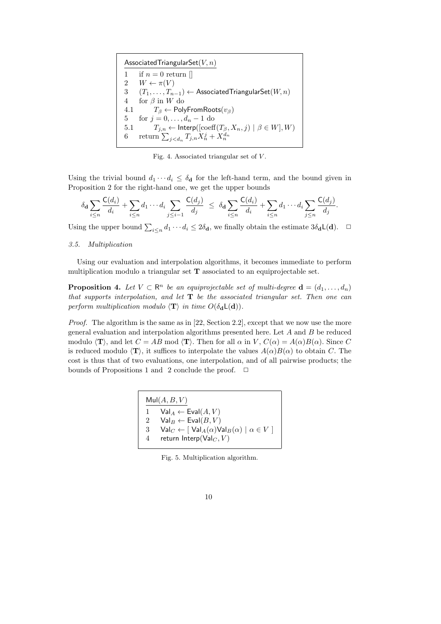Associated Triangular Set $(V, n)$ 1 if  $n = 0$  return  $\parallel$ 2  $W \leftarrow \pi(V)$ 3  $(T_1, \ldots, T_{n-1}) \leftarrow$  Associated Triangular Set $(W, n)$ <br>4 for  $\beta$  in W do for  $\beta$  in W do 4.1  $T_\beta$  ← PolyFromRoots $(v_\beta)$ 5 for  $j = 0, ..., d_n - 1$  do 5.1  $T_{j,n} \leftarrow$  Interp $(\left[\mathrm{coeff}(T_{\beta},X_n,j) \mid \beta \in W],W)$ 6 return  $\sum_{j$ 

Fig. 4. Associated triangular set of  $V$ .

Using the trivial bound  $d_1 \cdots d_i \leq \delta_{\mathbf{d}}$  for the left-hand term, and the bound given in Proposition 2 for the right-hand one, we get the upper bounds

$$
\delta_{\mathbf{d}} \sum_{i \leq n} \frac{\mathsf{C}(d_i)}{d_i} + \sum_{i \leq n} d_1 \cdots d_i \sum_{j \leq i-1} \frac{\mathsf{C}(d_j)}{d_j} \leq \delta_{\mathbf{d}} \sum_{i \leq n} \frac{\mathsf{C}(d_i)}{d_i} + \sum_{i \leq n} d_1 \cdots d_i \sum_{j \leq n} \frac{\mathsf{C}(d_j)}{d_j}.
$$

Using the upper bound  $\sum_{i\leq n} d_1 \cdots d_i \leq 2\delta_{\mathbf{d}}$ , we finally obtain the estimate  $3\delta_{\mathbf{d}} L(\mathbf{d})$ .  $\Box$ 

#### 3.5. Multiplication

Using our evaluation and interpolation algorithms, it becomes immediate to perform multiplication modulo a triangular set T associated to an equiprojectable set.

**Proposition 4.** Let  $V \subset \mathbb{R}^n$  be an equiprojectable set of multi-degree  $\mathbf{d} = (d_1, \ldots, d_n)$ that supports interpolation, and let  $T$  be the associated triangular set. Then one can perform multiplication modulo  $\langle T \rangle$  in time  $O(\delta_d L(d)).$ 

*Proof.* The algorithm is the same as in  $[22, \text{Section 2.2}]$ , except that we now use the more general evaluation and interpolation algorithms presented here. Let A and B be reduced modulo  $\langle \mathbf{T} \rangle$ , and let  $C = AB$  mod  $\langle \mathbf{T} \rangle$ . Then for all  $\alpha$  in V,  $C(\alpha) = A(\alpha)B(\alpha)$ . Since C is reduced modulo  $\langle T \rangle$ , it suffices to interpolate the values  $A(\alpha)B(\alpha)$  to obtain C. The cost is thus that of two evaluations, one interpolation, and of all pairwise products; the bounds of Propositions 1 and 2 conclude the proof.  $\Box$ 

| Mult(A, B, V) |                                                                                               |  |
|---------------|-----------------------------------------------------------------------------------------------|--|
|               | $Val_A \leftarrow \text{Eval}(A, V)$                                                          |  |
| 2             | $Val_B \leftarrow \text{Eval}(B, V)$                                                          |  |
| $\mathcal{S}$ | $\mathsf{Val}_C \leftarrow [\mathsf{Val}_A(\alpha) \mathsf{Val}_B(\alpha) \mid \alpha \in V]$ |  |
| 4             | return Interp( $Val_C, V$ )                                                                   |  |
|               |                                                                                               |  |

Fig. 5. Multiplication algorithm.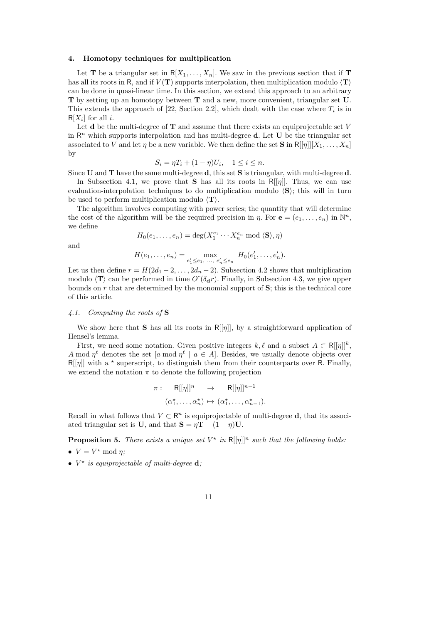#### 4. Homotopy techniques for multiplication

Let **T** be a triangular set in  $R[X_1, \ldots, X_n]$ . We saw in the previous section that if **T** has all its roots in R, and if  $V(\mathbf{T})$  supports interpolation, then multiplication modulo  $\langle \mathbf{T} \rangle$ can be done in quasi-linear time. In this section, we extend this approach to an arbitrary T by setting up an homotopy between T and a new, more convenient, triangular set U. This extends the approach of [22, Section 2.2], which dealt with the case where  $T_i$  is in  $R[X_i]$  for all *i*.

Let **d** be the multi-degree of  $\mathbf{T}$  and assume that there exists an equiprojectable set V in  $\mathbb{R}^n$  which supports interpolation and has multi-degree **d**. Let **U** be the triangular set associated to V and let  $\eta$  be a new variable. We then define the set **S** in  $R[[\eta]][X_1, \ldots, X_n]$ by

$$
S_i = \eta T_i + (1 - \eta)U_i, \quad 1 \le i \le n.
$$

Since U and T have the same multi-degree d, this set S is triangular, with multi-degree d.

In Subsection 4.1, we prove that **S** has all its roots in  $R[[\eta]]$ . Thus, we can use evaluation-interpolation techniques to do multiplication modulo  $\langle S \rangle$ ; this will in turn be used to perform multiplication modulo  $\langle T \rangle$ .

The algorithm involves computing with power series; the quantity that will determine the cost of the algorithm will be the required precision in  $\eta$ . For  $\mathbf{e} = (e_1, \ldots, e_n)$  in  $\mathbb{N}^n$ , we define

$$
H_0(e_1, \ldots, e_n) = \deg(X_1^{e_1} \cdots X_n^{e_n} \mod \langle \mathbf{S} \rangle, \eta)
$$

and

$$
H(e_1, \ldots, e_n) = \max_{e'_1 \leq e_1, \ldots, e'_n \leq e_n} H_0(e'_1, \ldots, e'_n).
$$

Let us then define  $r = H(2d_1 - 2, \ldots, 2d_n - 2)$ . Subsection 4.2 shows that multiplication modulo  $\langle T \rangle$  can be performed in time  $O^{\sim}(\delta_{d}r)$ . Finally, in Subsection 4.3, we give upper bounds on  $r$  that are determined by the monomial support of  $S$ ; this is the technical core of this article.

#### 4.1. Computing the roots of S

We show here that **S** has all its roots in  $R[[\eta]]$ , by a straightforward application of Hensel's lemma.

First, we need some notation. Given positive integers  $k, \ell$  and a subset  $A \subset R[[\eta]]^k$ , A mod  $\eta^{\ell}$  denotes the set [a mod  $\eta^{\ell}$  | a  $\in$  A]. Besides, we usually denote objects over  $R[\eta]$  with a \* superscript, to distinguish them from their counterparts over R. Finally, we extend the notation  $\pi$  to denote the following projection

$$
\pi: \quad \mathsf{R}[[\eta]]^n \quad \to \quad \mathsf{R}[[\eta]]^{n-1}
$$
\n
$$
(\alpha_1^*, \dots, \alpha_n^*) \mapsto (\alpha_1^*, \dots, \alpha_{n-1}^*).
$$

Recall in what follows that  $V \subset \mathbb{R}^n$  is equiprojectable of multi-degree **d**, that its associated triangular set is U, and that  $S = \eta T + (1 - \eta)U$ .

**Proposition 5.** There exists a unique set  $V^*$  in  $R[[\eta]]^n$  such that the following holds:

- $V = V^* \bmod \eta$ ;
- $V^*$  is equiprojectable of multi-degree  $\mathbf d$ ;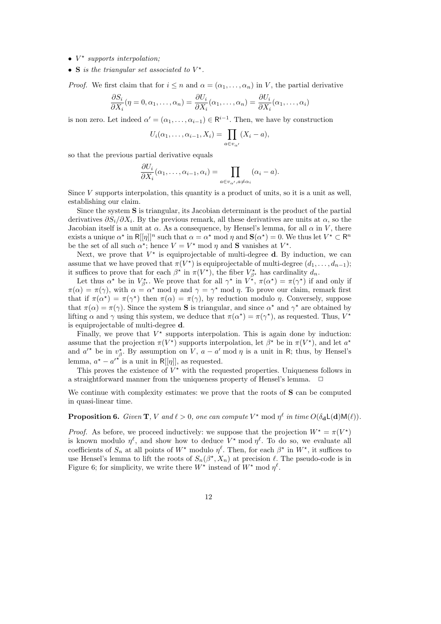- $\bullet$  V<sup>\*</sup> supports interpolation;
- S is the triangular set associated to  $V^*$ .

*Proof.* We first claim that for  $i \leq n$  and  $\alpha = (\alpha_1, \ldots, \alpha_n)$  in V, the partial derivative

$$
\frac{\partial S_i}{\partial X_i}(\eta = 0, \alpha_1, \dots, \alpha_n) = \frac{\partial U_i}{\partial X_i}(\alpha_1, \dots, \alpha_n) = \frac{\partial U_i}{\partial X_i}(\alpha_1, \dots, \alpha_i)
$$

is non zero. Let indeed  $\alpha' = (\alpha_1, \dots, \alpha_{i-1}) \in \mathbb{R}^{i-1}$ . Then, we have by construction

$$
U_i(\alpha_1,\ldots,\alpha_{i-1},X_i)=\prod_{a\in v_{\alpha'}}(X_i-a),
$$

so that the previous partial derivative equals

$$
\frac{\partial U_i}{\partial X_i}(\alpha_1,\ldots,\alpha_{i-1},\alpha_i) = \prod_{a \in v_{\alpha'},a \neq \alpha_i} (\alpha_i - a).
$$

Since  $V$  supports interpolation, this quantity is a product of units, so it is a unit as well, establishing our claim.

Since the system S is triangular, its Jacobian determinant is the product of the partial derivatives  $\partial S_i/\partial X_i$ . By the previous remark, all these derivatives are units at  $\alpha$ , so the Jacobian itself is a unit at  $\alpha$ . As a consequence, by Hensel's lemma, for all  $\alpha$  in V, there exists a unique  $\alpha^*$  in R[[ $\eta$ ]]<sup>n</sup> such that  $\alpha = \alpha^*$  mod  $\eta$  and  $\mathbf{S}(\alpha^*) = 0$ . We thus let  $V^* \subset \mathbb{R}^n$ be the set of all such  $\alpha^*$ ; hence  $V = V^*$  mod  $\eta$  and **S** vanishes at  $V^*$ .

Next, we prove that  $V^*$  is equiprojectable of multi-degree **d**. By induction, we can assume that we have proved that  $\pi(V^*)$  is equiprojectable of multi-degree  $(d_1, \ldots, d_{n-1});$ it suffices to prove that for each  $\beta^*$  in  $\pi(V^*)$ , the fiber  $V^*_{\beta^*}$  has cardinality  $d_n$ .

Let thus  $\alpha^*$  be in  $V_{\beta^*}^*$ . We prove that for all  $\gamma^*$  in  $V^*$ ,  $\pi(\alpha^*) = \pi(\gamma^*)$  if and only if  $\pi(\alpha) = \pi(\gamma)$ , with  $\alpha = \alpha^* \mod \eta$  and  $\gamma = \gamma^* \mod \eta$ . To prove our claim, remark first that if  $\pi(\alpha^*) = \pi(\gamma^*)$  then  $\pi(\alpha) = \pi(\gamma)$ , by reduction modulo  $\eta$ . Conversely, suppose that  $\pi(\alpha) = \pi(\gamma)$ . Since the system **S** is triangular, and since  $\alpha^*$  and  $\gamma^*$  are obtained by lifting  $\alpha$  and  $\gamma$  using this system, we deduce that  $\pi(\alpha^*) = \pi(\gamma^*)$ , as requested. Thus,  $V^*$ is equiprojectable of multi-degree d.

Finally, we prove that  $V^*$  supports interpolation. This is again done by induction: assume that the projection  $\pi(V^*)$  supports interpolation, let  $\beta^*$  be in  $\pi(V^*)$ , and let  $a^*$ and  $a'^*$  be in  $v^*_{\beta}$ . By assumption on V,  $a - a' \mod \eta$  is a unit in R; thus, by Hensel's lemma,  $a^* - a'^*$  is a unit in R[[ $\eta$ ]], as requested.

This proves the existence of  $V^*$  with the requested properties. Uniqueness follows in a straightforward manner from the uniqueness property of Hensel's lemma.  $\Box$ 

We continue with complexity estimates: we prove that the roots of S can be computed in quasi-linear time.

**Proposition 6.** Given **T**, V and  $\ell > 0$ , one can compute  $V^*$  mod  $\eta^{\ell}$  in time  $O(\delta_d L(d)M(\ell))$ .

*Proof.* As before, we proceed inductively: we suppose that the projection  $W^* = \pi(V^*)$ is known modulo  $\eta^{\ell}$ , and show how to deduce  $V^*$  mod  $\eta^{\ell}$ . To do so, we evaluate all coefficients of  $S_n$  at all points of  $W^*$  modulo  $\eta^{\ell}$ . Then, for each  $\beta^*$  in  $W^*$ , it suffices to use Hensel's lemma to lift the roots of  $S_n(\beta^*, X_n)$  at precision  $\ell$ . The pseudo-code is in Figure 6; for simplicity, we write there  $W^*$  instead of  $W^*$  mod  $\eta^{\ell}$ .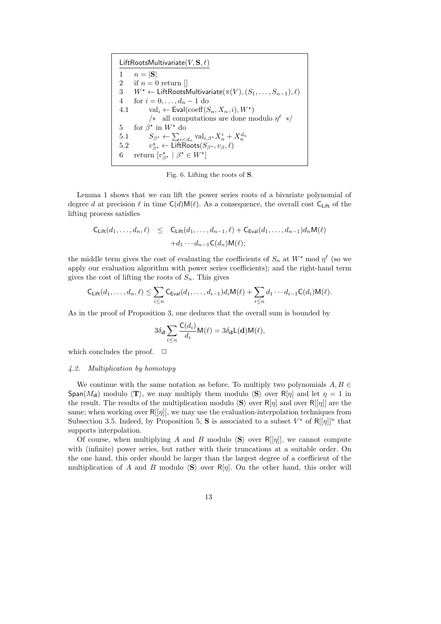LiftRootsMultivariate $(V, S, \ell)$ 1  $n = |\mathbf{S}|$ 2 if  $n = 0$  return  $\Box$ 3  $W^* \leftarrow \text{LiftRootsMultivariate}(\pi(V), (S_1, \ldots, S_{n-1}), \ell)$ 4 for  $i = 0, ..., d_n - 1$  do 4.1 val<sub>i</sub> ← Eval(coeff $(S_n, X_n, i), W^*$ ) /∗ all computations are done modulo  $\eta^{\ell}$  \*/ 5 for  $\beta^*$  in  $W^*$  do 5.1  $S_{\beta^*} \leftarrow \sum_{i \lt d_n} \text{val}_{i,\beta^*} X_n^i + X_n^{d_n}$ <br>
5.2  $v_{\beta^*}^* \leftarrow \text{LiftRoots}(S_{\beta^*}, v_{\beta}, \ell)$ 5.2 6 return  $[v_{\beta^*}^* \mid \beta^* \in W^*]$ 

Fig. 6. Lifting the roots of S.

Lemma 1 shows that we can lift the power series roots of a bivariate polynomial of degree d at precision  $\ell$  in time  $C(d)M(\ell)$ . As a consequence, the overall cost C<sub>Lift</sub> of the lifting process satisfies

$$
C_{\text{Lift}}(d_1, \ldots, d_n, \ell) \leq C_{\text{Lift}}(d_1, \ldots, d_{n-1}, \ell) + C_{\text{Eval}}(d_1, \ldots, d_{n-1})d_n \mathsf{M}(\ell)
$$
  
+ $d_1 \cdots d_{n-1} \mathsf{C}(d_n) \mathsf{M}(\ell);$ 

the middle term gives the cost of evaluating the coefficients of  $S_n$  at  $W^*$  mod  $\eta^{\ell}$  (so we apply our evaluation algorithm with power series coefficients); and the right-hand term gives the cost of lifting the roots of  $S_n$ . This gives

$$
\mathsf{C}_{\mathsf{Lift}}(d_1,\ldots,d_n,\ell) \leq \sum_{i\leq n} \mathsf{C}_{\mathsf{Eval}}(d_1,\ldots,d_{i-1}) d_i \mathsf{M}(\ell) + \sum_{i\leq n} d_1 \cdots d_{i-1} \mathsf{C}(d_i) \mathsf{M}(\ell).
$$

As in the proof of Proposition 3, one deduces that the overall sum is bounded by

$$
3\delta_{\mathbf{d}} \sum_{i \leq n} \frac{\mathsf{C}(d_i)}{d_i} \mathsf{M}(\ell) = 3\delta_{\mathbf{d}} \mathsf{L}(\mathbf{d}) \mathsf{M}(\ell),
$$

which concludes the proof.  $\Box$ 

#### 4.2. Multiplication by homotopy

We continue with the same notation as before. To multiply two polynomials  $A, B \in$ Span( $M_d$ ) modulo  $\langle T \rangle$ , we may multiply them modulo  $\langle S \rangle$  over R[ $\eta$ ] and let  $\eta = 1$  in the result. The results of the multiplication modulo  $\langle S \rangle$  over R[ $\eta$ ] and over R[[ $\eta$ ]] are the same; when working over  $R[[\eta]]$ , we may use the evaluation-interpolation techniques from Subsection 3.5. Indeed, by Proposition 5, S is associated to a subset  $V^*$  of R[[ $\eta$ ]]<sup>n</sup> that supports interpolation.

Of course, when multiplying A and B modulo  $\langle S \rangle$  over R[[ $\eta$ ]], we cannot compute with (infinite) power series, but rather with their truncations at a suitable order. On the one hand, this order should be larger than the largest degree of a coefficient of the multiplication of A and B modulo  $\langle S \rangle$  over R[η]. On the other hand, this order will

13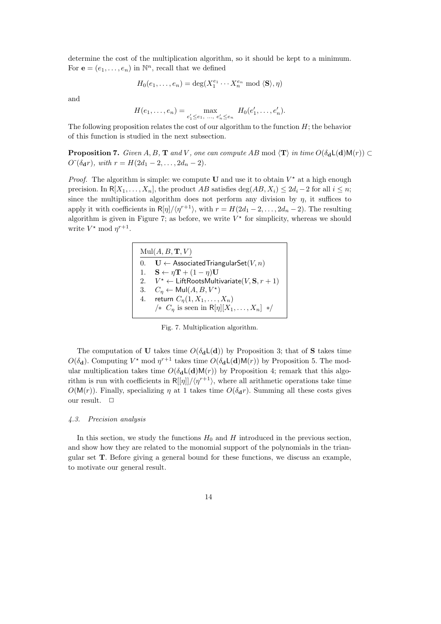determine the cost of the multiplication algorithm, so it should be kept to a minimum. For  $\mathbf{e} = (e_1, \dots, e_n)$  in  $\mathbb{N}^n$ , recall that we defined

$$
H_0(e_1, \ldots, e_n) = \deg(X_1^{e_1} \cdots X_n^{e_n} \mod \langle \mathbf{S} \rangle, \eta)
$$

and

$$
H(e_1, \ldots, e_n) = \max_{e'_1 \le e_1, \ldots, e'_n \le e_n} H_0(e'_1, \ldots, e'_n).
$$

The following proposition relates the cost of our algorithm to the function  $H$ ; the behavior of this function is studied in the next subsection.

**Proposition 7.** Given A, B, T and V, one can compute AB mod  $\langle T \rangle$  in time  $O(\delta_d L(d)M(r)) \subset$  $O^{\sim}(\delta_{\mathbf{d}}r)$ , with  $r = H(2d_1 - 2, \ldots, 2d_n - 2)$ .

*Proof.* The algorithm is simple: we compute U and use it to obtain  $V^*$  at a high enough precision. In  $R[X_1, \ldots, X_n]$ , the product AB satisfies deg(AB,  $X_i$ )  $\leq 2d_i - 2$  for all  $i \leq n$ ; since the multiplication algorithm does not perform any division by  $\eta$ , it suffices to apply it with coefficients in  $R[\eta]/\langle \eta^{r+1} \rangle$ , with  $r = H(2d_1 - 2, \ldots, 2d_n - 2)$ . The resulting algorithm is given in Figure 7; as before, we write  $V^*$  for simplicity, whereas we should write  $V^* \mod \eta^{r+1}$ .



Fig. 7. Multiplication algorithm.

The computation of **U** takes time  $O(\delta_d L(d))$  by Proposition 3; that of **S** takes time  $O(\delta_{\mathbf{d}})$ . Computing  $V^*$  mod  $\eta^{r+1}$  takes time  $O(\delta_{\mathbf{d}}L(\mathbf{d})M(r))$  by Proposition 5. The modular multiplication takes time  $O(\delta_d L(d)M(r))$  by Proposition 4; remark that this algorithm is run with coefficients in  $R[[\eta]]/(\eta^{r+1})$ , where all arithmetic operations take time  $O(M(r))$ . Finally, specializing  $\eta$  at 1 takes time  $O(\delta_{\mathbf{d}}r)$ . Summing all these costs gives our result.  $\quad \Box$ 

#### 4.3. Precision analysis

In this section, we study the functions  $H_0$  and H introduced in the previous section, and show how they are related to the monomial support of the polynomials in the triangular set T. Before giving a general bound for these functions, we discuss an example, to motivate our general result.

14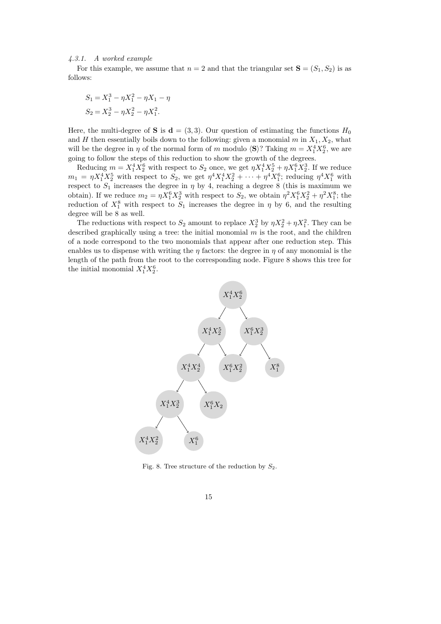#### 4.3.1. A worked example

For this example, we assume that  $n = 2$  and that the triangular set  $S = (S_1, S_2)$  is as follows:

$$
S_1 = X_1^3 - \eta X_1^2 - \eta X_1 - \eta
$$
  
\n
$$
S_2 = X_2^3 - \eta X_2^2 - \eta X_1^2.
$$

Here, the multi-degree of **S** is  $d = (3, 3)$ . Our question of estimating the functions  $H_0$ and H then essentially boils down to the following: given a monomial  $m$  in  $X_1, X_2$ , what will be the degree in  $\eta$  of the normal form of m modulo  $\langle \mathbf{S} \rangle$ ? Taking  $m = X_1^4 X_2^6$ , we are going to follow the steps of this reduction to show the growth of the degrees.

Reducing  $m = X_1^4 X_2^6$  with respect to  $S_2$  once, we get  $\eta X_1^4 X_2^5 + \eta X_1^6 X_2^3$ . If we reduce  $m_1 = \eta X_1^4 X_2^5$  with respect to  $S_2$ , we get  $\eta^4 X_1^4 X_2^2 + \cdots + \eta^4 X_1^6$ ; reducing  $\eta^4 X_1^6$  with respect to  $S_1$  increases the degree in  $\eta$  by 4, reaching a degree 8 (this is maximum we obtain). If we reduce  $m_2 = \eta X_1^6 X_2^3$  with respect to  $S_2$ , we obtain  $\eta^2 X_1^6 X_2^2 + \eta^2 X_1^8$ ; the reduction of  $X_1^8$  with respect to  $S_1$  increases the degree in  $\eta$  by 6, and the resulting degree will be 8 as well.

The reductions with respect to  $S_2$  amount to replace  $X_2^3$  by  $\eta X_2^2 + \eta X_1^2$ . They can be described graphically using a tree: the initial monomial  $m$  is the root, and the children of a node correspond to the two monomials that appear after one reduction step. This enables us to dispense with writing the  $\eta$  factors: the degree in  $\eta$  of any monomial is the length of the path from the root to the corresponding node. Figure 8 shows this tree for the initial monomial  $X_1^4 X_2^6$ .



Fig. 8. Tree structure of the reduction by  $S_2$ .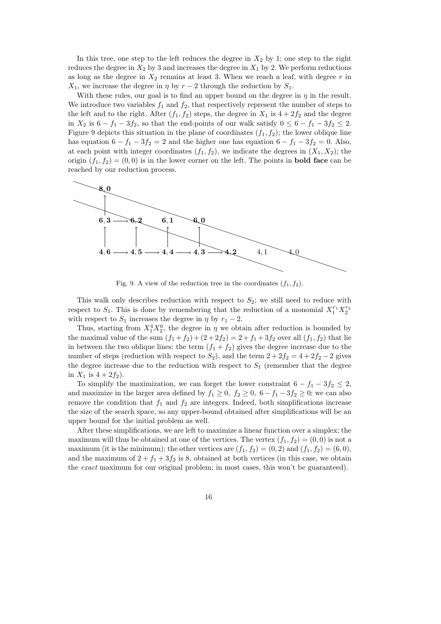In this tree, one step to the left reduces the degree in  $X_2$  by 1; one step to the right reduces the degree in  $X_2$  by 3 and increases the degree in  $X_1$  by 2. We perform reductions as long as the degree in  $X_2$  remains at least 3. When we reach a leaf, with degree r in  $X_1$ , we increase the degree in  $\eta$  by  $r-2$  through the reduction by  $S_1$ .

With these rules, our goal is to find an upper bound on the degree in  $\eta$  in the result. We introduce two variables  $f_1$  and  $f_2$ , that respectively represent the number of steps to the left and to the right. After  $(f_1, f_2)$  steps, the degree in  $X_1$  is  $4 + 2f_2$  and the degree in  $X_2$  is  $6 - f_1 - 3f_2$ , so that the end-points of our walk satisfy  $0 \leq 6 - f_1 - 3f_2 \leq 2$ . Figure 9 depicts this situation in the plane of coordinates  $(f_1, f_2)$ ; the lower oblique line has equation  $6 - f_1 - 3f_2 = 2$  and the higher one has equation  $6 - f_1 - 3f_2 = 0$ . Also, at each point with integer coordinates  $(f_1, f_2)$ , we indicate the degrees in  $(X_1, X_2)$ ; the origin  $(f_1, f_2) = (0, 0)$  is in the lower corner on the left. The points in **bold face** can be reached by our reduction process.



Fig. 9. A view of the reduction tree in the coordinates  $(f_1, f_2)$ .

This walk only describes reduction with respect to  $S_2$ ; we still need to reduce with respect to  $S_1$ . This is done by remembering that the reduction of a monomial  $X_1^{r_1} X_2^{r_2}$ with respect to  $S_1$  increases the degree in  $\eta$  by  $r_1 - 2$ .

Thus, starting from  $X_1^4 X_2^6$ , the degree in  $\eta$  we obtain after reduction is bounded by the maximal value of the sum  $(f_1 + f_2) + (2 + 2f_2) = 2 + f_1 + 3f_2$  over all  $(f_1, f_2)$  that lie in between the two oblique lines: the term  $(f_1 + f_2)$  gives the degree increase due to the number of steps (reduction with respect to  $S_2$ ), and the term  $2 + 2f_2 = 4 + 2f_2 - 2$  gives the degree increase due to the reduction with respect to  $S_1$  (remember that the degree in  $X_1$  is  $4 + 2f_2$ ).

To simplify the maximization, we can forget the lower constraint  $6 - f_1 - 3f_2 \leq 2$ , and maximize in the larger area defined by  $f_1 \geq 0$ ,  $f_2 \geq 0$ ,  $6 - f_1 - 3f_2 \geq 0$ ; we can also remove the condition that  $f_1$  and  $f_2$  are integers. Indeed, both simplifications increase the size of the search space, so any upper-bound obtained after simplifications will be an upper bound for the initial problem as well.

After these simplifications, we are left to maximize a linear function over a simplex; the maximum will thus be obtained at one of the vertices. The vertex  $(f_1, f_2) = (0, 0)$  is not a maximum (it is the minimum); the other vertices are  $(f_1, f_2) = (0, 2)$  and  $(f_1, f_2) = (6, 0)$ , and the maximum of  $2 + f_1 + 3f_2$  is 8, obtained at both vertices (in this case, we obtain the exact maximum for our original problem; in most cases, this won't be guaranteed).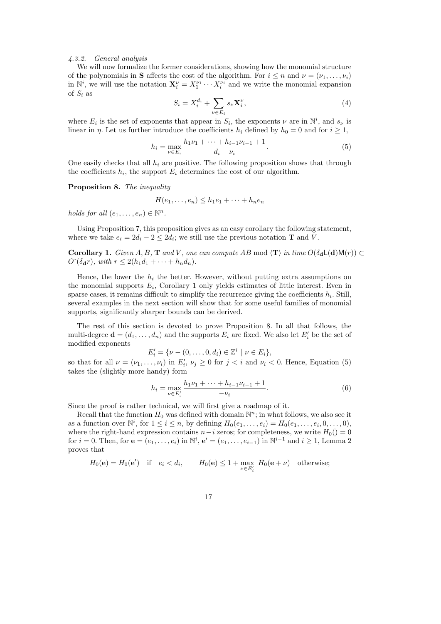#### 4.3.2. General analysis

We will now formalize the former considerations, showing how the monomial structure of the polynomials in **S** affects the cost of the algorithm. For  $i \leq n$  and  $\nu = (\nu_1, \ldots, \nu_i)$ in  $\mathbb{N}^i$ , we will use the notation  $\mathbf{X}_i^{\nu} = X_1^{\nu_1} \cdots X_i^{\nu_i}$  and we write the monomial expansion of  $S_i$  as

$$
S_i = X_i^{d_i} + \sum_{\nu \in E_i} s_{\nu} \mathbf{X}_i^{\nu},\tag{4}
$$

where  $E_i$  is the set of exponents that appear in  $S_i$ , the exponents  $\nu$  are in  $\mathbb{N}^i$ , and  $s_{\nu}$  is linear in  $\eta$ . Let us further introduce the coefficients  $h_i$  defined by  $h_0 = 0$  and for  $i \ge 1$ ,

$$
h_i = \max_{\nu \in E_i} \frac{h_1 \nu_1 + \dots + h_{i-1} \nu_{i-1} + 1}{d_i - \nu_i}.
$$
 (5)

One easily checks that all  $h_i$  are positive. The following proposition shows that through the coefficients  $h_i$ , the support  $E_i$  determines the cost of our algorithm.

Proposition 8. The inequality

$$
H(e_1,\ldots,e_n) \leq h_1e_1 + \cdots + h_ne_n
$$

holds for all  $(e_1, \ldots, e_n) \in \mathbb{N}^n$ .

Using Proposition 7, this proposition gives as an easy corollary the following statement, where we take  $e_i = 2d_i - 2 \leq 2d_i$ ; we still use the previous notation **T** and *V*.

Corollary 1. Given A, B, T and V, one can compute AB mod  $\langle T \rangle$  in time  $O(\delta_d L(d)M(r)) \subset$  $O^{\sim}(\delta_{\mathbf{d}}r)$ , with  $r \leq 2(h_1d_1 + \cdots + h_nd_n)$ .

Hence, the lower the  $h_i$  the better. However, without putting extra assumptions on the monomial supports  $E_i$ , Corollary 1 only yields estimates of little interest. Even in sparse cases, it remains difficult to simplify the recurrence giving the coefficients  $h_i$ . Still, several examples in the next section will show that for some useful families of monomial supports, significantly sharper bounds can be derived.

The rest of this section is devoted to prove Proposition 8. In all that follows, the multi-degree  $\mathbf{d} = (d_1, \ldots, d_n)$  and the supports  $E_i$  are fixed. We also let  $E'_i$  be the set of modified exponents

$$
E'_{i} = \{ \nu - (0, \ldots, 0, d_{i}) \in \mathbb{Z}^{i} \mid \nu \in E_{i} \},\
$$

so that for all  $\nu = (\nu_1, \dots, \nu_i)$  in  $E'_i, \nu_j \geq 0$  for  $j < i$  and  $\nu_i < 0$ . Hence, Equation (5) takes the (slightly more handy) form

$$
h_i = \max_{\nu \in E_i'} \frac{h_1 \nu_1 + \dots + h_{i-1} \nu_{i-1} + 1}{-\nu_i}.
$$
 (6)

Since the proof is rather technical, we will first give a roadmap of it.

Recall that the function  $H_0$  was defined with domain  $\mathbb{N}^n$ ; in what follows, we also see it as a function over  $\mathbb{N}^i$ , for  $1 \leq i \leq n$ , by defining  $H_0(e_1, \ldots, e_i) = H_0(e_1, \ldots, e_i, 0, \ldots, 0)$ , where the right-hand expression contains  $n-i$  zeros; for completeness, we write  $H_0() = 0$ for  $i = 0$ . Then, for  $\mathbf{e} = (e_1, \ldots, e_i)$  in  $\mathbb{N}^i$ ,  $\mathbf{e}' = (e_1, \ldots, e_{i-1})$  in  $\mathbb{N}^{i-1}$  and  $i \geq 1$ , Lemma 2 proves that

$$
H_0(\mathbf{e}) = H_0(\mathbf{e}') \quad \text{if} \quad e_i < d_i, \qquad H_0(\mathbf{e}) \le 1 + \max_{\nu \in E'_i} H_0(\mathbf{e} + \nu) \quad \text{otherwise};
$$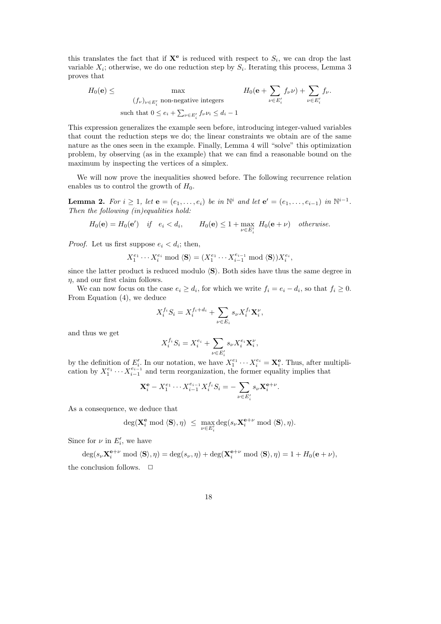this translates the fact that if  $X^e$  is reduced with respect to  $S_i$ , we can drop the last variable  $X_i$ ; otherwise, we do one reduction step by  $S_i$ . Iterating this process, Lemma 3 proves that

$$
H_0(\mathbf{e}) \leq \max \qquad H_0(\mathbf{e} + \sum_{\nu \in E'_i} f_{\nu} \nu) + \sum_{\nu \in E'_i} f_{\nu}.
$$
\n
$$
\text{such that } 0 \leq e_i + \sum_{\nu \in E'_i} f_{\nu} \nu_i \leq d_i - 1
$$

This expression generalizes the example seen before, introducing integer-valued variables that count the reduction steps we do; the linear constraints we obtain are of the same nature as the ones seen in the example. Finally, Lemma 4 will "solve" this optimization problem, by observing (as in the example) that we can find a reasonable bound on the maximum by inspecting the vertices of a simplex.

We will now prove the inequalities showed before. The following recurrence relation enables us to control the growth of  $H_0$ .

**Lemma 2.** For  $i \geq 1$ , let  $\mathbf{e} = (e_1, \ldots, e_i)$  be in  $\mathbb{N}^i$  and let  $\mathbf{e}' = (e_1, \ldots, e_{i-1})$  in  $\mathbb{N}^{i-1}$ . Then the following (in)equalities hold:

$$
H_0(\mathbf{e}) = H_0(\mathbf{e}') \quad \text{if} \quad e_i < d_i, \qquad H_0(\mathbf{e}) \le 1 + \max_{\nu \in E'_i} H_0(\mathbf{e} + \nu) \quad \text{otherwise.}
$$

*Proof.* Let us first suppose  $e_i < d_i$ ; then,

$$
X_1^{e_1}\cdots X_i^{e_i} \bmod \langle {\bf S}\rangle = (X_1^{e_1}\cdots X_{i-1}^{e_{i-1}} \bmod \langle {\bf S}\rangle) X_i^{e_i},
$$

since the latter product is reduced modulo  $\langle S \rangle$ . Both sides have thus the same degree in  $\eta$ , and our first claim follows.

We can now focus on the case  $e_i \geq d_i$ , for which we write  $f_i = e_i - d_i$ , so that  $f_i \geq 0$ . From Equation (4), we deduce

$$
X_i^{f_i} S_i = X_i^{f_i + d_i} + \sum_{\nu \in E_i} s_{\nu} X_i^{f_i} \mathbf{X}_i^{\nu},
$$

and thus we get

$$
X_i^{f_i} S_i = X_i^{e_i} + \sum_{\nu \in E_i'} s_{\nu} X_i^{e_i} \mathbf{X}_i^{\nu},
$$

by the definition of  $E'_i$ . In our notation, we have  $X_1^{e_1} \cdots X_i^{e_i} = \mathbf{X}_i^e$ . Thus, after multiplication by  $X_1^{e_1} \cdots X_{i-1}^{e_{i-1}}$  and term reorganization, the former equality implies that

$$
\mathbf{X}_{i}^{\mathbf{e}} - X_{1}^{e_{1}} \cdots X_{i-1}^{e_{i-1}} X_{i}^{f_{i}} S_{i} = -\sum_{\nu \in E'_{i}} s_{\nu} \mathbf{X}_{i}^{\mathbf{e}+\nu}
$$

.

As a consequence, we deduce that

$$
\deg(\mathbf{X}_{i}^{\mathbf{e}} \bmod \langle \mathbf{S} \rangle, \eta) \leq \max_{\nu \in E'_{i}} \deg(s_{\nu} \mathbf{X}_{i}^{\mathbf{e}+\nu} \bmod \langle \mathbf{S} \rangle, \eta).
$$

Since for  $\nu$  in  $E'_i$ , we have

$$
\deg(s_{\nu} \mathbf{X}_{i}^{\mathbf{e}+\nu} \bmod \langle \mathbf{S} \rangle, \eta) = \deg(s_{\nu}, \eta) + \deg(\mathbf{X}_{i}^{\mathbf{e}+\nu} \bmod \langle \mathbf{S} \rangle, \eta) = 1 + H_{0}(\mathbf{e}+\nu),
$$
 the conclusion follows.  $\Box$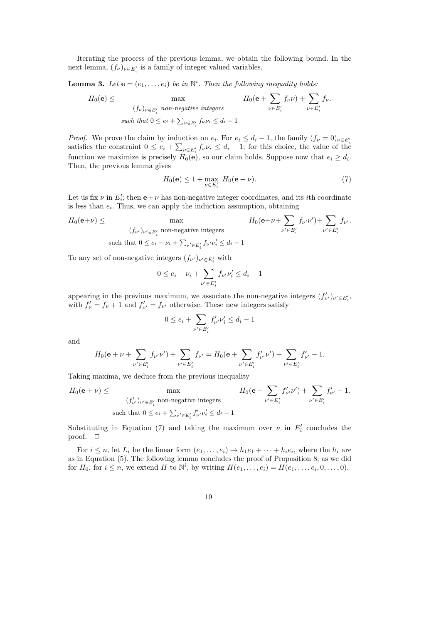Iterating the process of the previous lemma, we obtain the following bound. In the next lemma,  $(f_{\nu})_{\nu \in E'_i}$  is a family of integer valued variables.

**Lemma 3.** Let  $\mathbf{e} = (e_1, \ldots, e_i)$  be in  $\mathbb{N}^i$ . Then the following inequality holds:

$$
H_0(\mathbf{e}) \leq \max_{\substack{(f_\nu)_{\nu \in E'_i} \text{ non-negative integers}}} H_0(\mathbf{e} + \sum_{\nu \in E'_i} f_\nu \nu) + \sum_{\nu \in E'_i} f_\nu.
$$
  
such that  $0 \leq e_i + \sum_{\nu \in E'_i} f_\nu \nu_i \leq d_i - 1$ 

*Proof.* We prove the claim by induction on  $e_i$ . For  $e_i \leq d_i - 1$ , the family  $(f_\nu = 0)_{\nu \in E_i}$ satisfies the constraint  $0 \le e_i + \sum_{\nu \in E'_i} f_{\nu} \nu_i \le d_i - 1$ ; for this choice, the value of the function we maximize is precisely  $H_0(\mathbf{e})$ , so our claim holds. Suppose now that  $e_i \geq d_i$ . Then, the previous lemma gives

$$
H_0(\mathbf{e}) \le 1 + \max_{\nu \in E'_i} H_0(\mathbf{e} + \nu). \tag{7}
$$

Let us fix  $\nu$  in  $E'_i$ ; then  $e+\nu$  has non-negative integer coordinates, and its *i*th coordinate is less than  $e_i$ . Thus, we can apply the induction assumption, obtaining

$$
H_0(\mathbf{e}+\nu) \leq \max_{(f_{\nu'})_{\nu' \in E'_i} \text{ non-negative integers}} H_0(\mathbf{e}+\nu+\sum_{\nu' \in E'_i} f_{\nu'}\nu') + \sum_{\nu' \in E'_i} f_{\nu'}.
$$
  
such that  $0 \leq e_i + \nu_i + \sum_{\nu' \in E'_i} f_{\nu'}\nu'_i \leq d_i - 1$ 

To any set of non-negative integers  $(f_{\nu'})_{\nu'\in E'_i}$  with

$$
0 \le e_i + \nu_i + \sum_{\nu' \in E'_i} f_{\nu'} \nu'_i \le d_i - 1
$$

appearing in the previous maximum, we associate the non-negative integers  $(f'_{\nu'})_{\nu' \in E'_{i}}$ , with  $f'_{\nu} = f_{\nu} + 1$  and  $f'_{\nu'} = f_{\nu'}$  otherwise. These new integers satisfy

$$
0 \le e_i + \sum_{\nu' \in E'_i} f'_{\nu'} \nu'_i \le d_i - 1
$$

and

$$
H_0(\mathbf{e} + \nu + \sum_{\nu' \in E'_i} f_{\nu'} \nu') + \sum_{\nu' \in E'_i} f_{\nu'} = H_0(\mathbf{e} + \sum_{\nu' \in E'_i} f'_{\nu'} \nu') + \sum_{\nu' \in E'_i} f'_{\nu'} - 1.
$$

Taking maxima, we deduce from the previous inequality

$$
H_0(\mathbf{e} + \nu) \leq \max_{(f'_{\nu'})_{\nu' \in E'_i} \text{ non-negative integers}} H_0(\mathbf{e} + \sum_{\nu' \in E'_i} f'_{\nu'} \nu') + \sum_{\nu' \in E'_i} f'_{\nu'} - 1.
$$
  
such that  $0 \leq e_i + \sum_{\nu' \in E'_i} f'_{\nu'} \nu'_i \leq d_i - 1$ 

Substituting in Equation (7) and taking the maximum over  $\nu$  in  $E'_i$  concludes the proof.  $\square$ 

For  $i \leq n$ , let  $L_i$  be the linear form  $(e_1, \ldots, e_i) \mapsto h_1e_1 + \cdots + h_ie_i$ , where the  $h_i$  are as in Equation (5). The following lemma concludes the proof of Proposition 8; as we did for  $H_0$ , for  $i \leq n$ , we extend H to  $\mathbb{N}^i$ , by writing  $H(e_1, \ldots, e_i) = H(e_1, \ldots, e_i, 0, \ldots, 0)$ .

19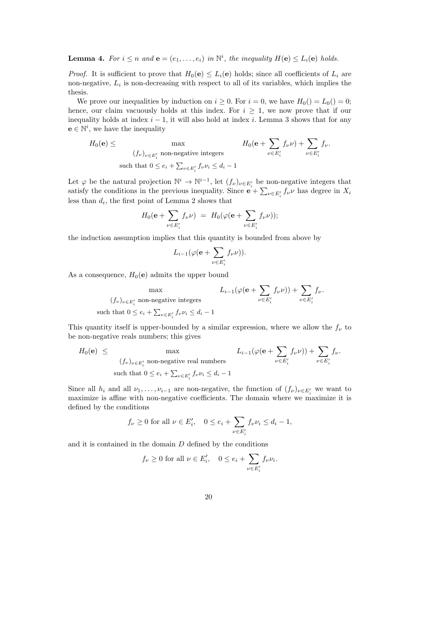**Lemma 4.** For  $i \leq n$  and  $e = (e_1, \ldots, e_i)$  in  $\mathbb{N}^i$ , the inequality  $H(e) \leq L_i(e)$  holds.

*Proof.* It is sufficient to prove that  $H_0(e) \leq L_i(e)$  holds; since all coefficients of  $L_i$  are non-negative,  $L_i$  is non-decreasing with respect to all of its variables, which implies the thesis.

We prove our inequalities by induction on  $i \geq 0$ . For  $i = 0$ , we have  $H_0() = L_0() = 0$ ; hence, our claim vacuously holds at this index. For  $i > 1$ , we now prove that if our inequality holds at index  $i - 1$ , it will also hold at index i. Lemma 3 shows that for any  $\mathbf{e} \in \mathbb{N}^i$ , we have the inequality

$$
H_0(\mathbf{e}) \le \max_{\substack{(f_\nu)_{\nu \in E'_i} \text{ non-negative integers}}} H_0(\mathbf{e} + \sum_{\nu \in E'_i} f_\nu \nu) + \sum_{\nu \in E'_i} f_\nu.
$$
  
such that  $0 \le e_i + \sum_{\nu \in E'_i} f_\nu \nu_i \le d_i - 1$ 

Let  $\varphi$  be the natural projection  $\mathbb{N}^i \to \mathbb{N}^{i-1}$ , let  $(f_{\nu})_{\nu \in E'_i}$  be non-negative integers that satisfy the conditions in the previous inequality. Since  $e + \sum_{\nu \in E'_i} f_{\nu} \nu$  has degree in  $X_i$ less than  $d_i$ , the first point of Lemma 2 shows that

$$
H_0(\mathbf{e} + \sum_{\nu \in E'_i} f_{\nu} \nu) = H_0(\varphi(\mathbf{e} + \sum_{\nu \in E'_i} f_{\nu} \nu));
$$

the induction assumption implies that this quantity is bounded from above by

$$
L_{i-1}(\varphi(\mathbf{e}+\sum_{\nu\in E'_i}f_{\nu}\nu)).
$$

As a consequence,  $H_0(\mathbf{e})$  admits the upper bound

$$
\max \qquad L_{i-1}(\varphi(\mathbf{e} + \sum_{\nu \in E'_i} f_{\nu} \nu)) + \sum_{\nu \in E'_i} f_{\nu}.
$$
\n
$$
\text{such that } 0 \le e_i + \sum_{\nu \in E'_i} f_{\nu} \nu_i \le d_i - 1
$$

This quantity itself is upper-bounded by a similar expression, where we allow the  $f_{\nu}$  to be non-negative reals numbers; this gives

$$
H_0(\mathbf{e}) \leq \max_{(f_\nu)_{\nu \in E'_i} \text{ non-negative real numbers}} L_{i-1}(\varphi(\mathbf{e} + \sum_{\nu \in E'_i} f_\nu \nu)) + \sum_{\nu \in E'_i} f_\nu.
$$
  
such that  $0 \leq e_i + \sum_{\nu \in E'_i} f_\nu \nu_i \leq d_i - 1$ 

Since all  $h_i$  and all  $\nu_1, \ldots, \nu_{i-1}$  are non-negative, the function of  $(f_{\nu})_{\nu \in E'_i}$  we want to maximize is affine with non-negative coefficients. The domain where we maximize it is defined by the conditions

$$
f_{\nu} \ge 0 \text{ for all } \nu \in E'_i, \quad 0 \le e_i + \sum_{\nu \in E'_i} f_{\nu} \nu_i \le d_i - 1,
$$

and it is contained in the domain  $D$  defined by the conditions

$$
f_{\nu} \ge 0
$$
 for all  $\nu \in E'_i$ ,  $0 \le e_i + \sum_{\nu \in E'_i} f_{\nu} \nu_i$ .

20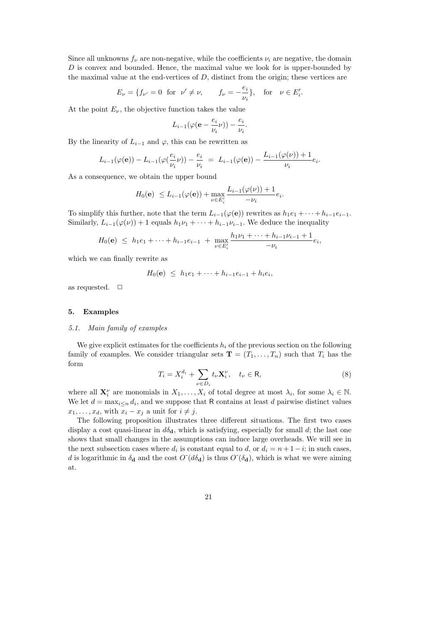Since all unknowns  $f_{\nu}$  are non-negative, while the coefficients  $\nu_i$  are negative, the domain D is convex and bounded. Hence, the maximal value we look for is upper-bounded by the maximal value at the end-vertices of  $D$ , distinct from the origin; these vertices are

$$
E_{\nu} = \{f_{\nu'} = 0 \text{ for } \nu' \neq \nu, \qquad f_{\nu} = -\frac{e_i}{\nu_i}\}, \text{ for } \nu \in E'_i.
$$

At the point  $E_{\nu}$ , the objective function takes the value

$$
L_{i-1}(\varphi(\mathbf{e}-\frac{e_i}{\nu_i}\nu))-\frac{e_i}{\nu_i}
$$

.

By the linearity of  $L_{i-1}$  and  $\varphi$ , this can be rewritten as

$$
L_{i-1}(\varphi(\mathbf{e})) - L_{i-1}(\varphi(\frac{e_i}{\nu_i}\nu)) - \frac{e_i}{\nu_i} = L_{i-1}(\varphi(\mathbf{e})) - \frac{L_{i-1}(\varphi(\nu)) + 1}{\nu_i}e_i.
$$

As a consequence, we obtain the upper bound

$$
H_0(\mathbf{e}) \le L_{i-1}(\varphi(\mathbf{e})) + \max_{\nu \in E'_i} \frac{L_{i-1}(\varphi(\nu)) + 1}{-\nu_i} e_i.
$$

To simplify this further, note that the term  $L_{i-1}(\varphi(\mathbf{e}))$  rewrites as  $h_1e_1 + \cdots + h_{i-1}e_{i-1}$ . Similarly,  $L_{i-1}(\varphi(\nu)) + 1$  equals  $h_1\nu_1 + \cdots + h_{i-1}\nu_{i-1}$ . We deduce the inequality

$$
H_0(\mathbf{e}) \ \leq \ h_1 e_1 + \dots + h_{i-1} e_{i-1} \ + \ \max_{\nu \in E'_i} \frac{h_1 \nu_1 + \dots + h_{i-1} \nu_{i-1} + 1}{-\nu_i} e_i,
$$

which we can finally rewrite as

$$
H_0(\mathbf{e}) \ \leq \ h_1 e_1 + \dots + h_{i-1} e_{i-1} + h_i e_i,
$$

as requested.  $\square$ 

#### 5. Examples

#### 5.1. Main family of examples

We give explicit estimates for the coefficients  $h_i$  of the previous section on the following family of examples. We consider triangular sets  $\mathbf{T} = (T_1, \ldots, T_n)$  such that  $T_i$  has the form

$$
T_i = X_i^{d_i} + \sum_{\nu \in D_i} t_{\nu} \mathbf{X}_i^{\nu}, \quad t_{\nu} \in \mathsf{R}, \tag{8}
$$

where all  $\mathbf{X}_i^{\nu}$  are monomials in  $X_1, \ldots, X_i$  of total degree at most  $\lambda_i$ , for some  $\lambda_i \in \mathbb{N}$ . We let  $d = \max_{i \leq n} d_i$ , and we suppose that R contains at least d pairwise distinct values  $x_1, \ldots, x_d$ , with  $x_i - x_j$  a unit for  $i \neq j$ .

The following proposition illustrates three different situations. The first two cases display a cost quasi-linear in  $d\delta_{\mathbf{d}}$ , which is satisfying, especially for small d; the last one shows that small changes in the assumptions can induce large overheads. We will see in the next subsection cases where  $d_i$  is constant equal to  $d$ , or  $d_i = n + 1 - i$ ; in such cases, d is logarithmic in  $\delta_{\bf d}$  and the cost  $O^{\sim}(d\delta_{\bf d})$  is thus  $O^{\sim}(\delta_{\bf d})$ , which is what we were aiming at.

21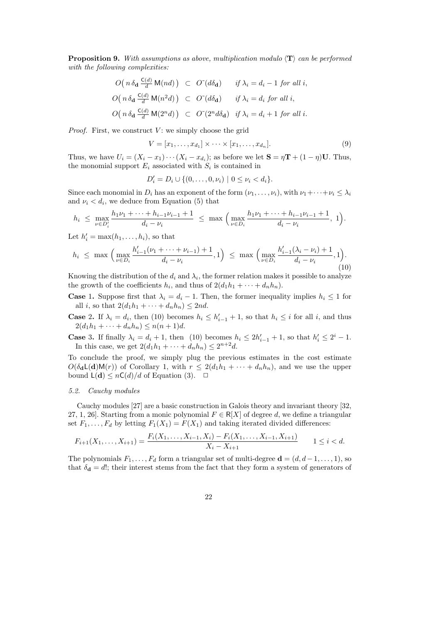**Proposition 9.** With assumptions as above, multiplication modulo  $\langle T \rangle$  can be performed with the following complexities:

$$
O\left(n\,\delta_{\mathbf{d}}\,\frac{\mathsf{C}(d)}{d}\,\mathsf{M}(nd)\right) \;\subset\; O\,\check{ }(\mathrm{d}\delta_{\mathbf{d}}) \qquad \text{if } \lambda_i = d_i - 1 \text{ for all } i,
$$
\n
$$
O\left(n\,\delta_{\mathbf{d}}\,\frac{\mathsf{C}(d)}{d}\,\mathsf{M}(n^2d)\right) \;\subset\; O\,\check{ }(\mathrm{d}\delta_{\mathbf{d}}) \qquad \text{if } \lambda_i = d_i \text{ for all } i,
$$
\n
$$
O\left(n\,\delta_{\mathbf{d}}\,\frac{\mathsf{C}(d)}{d}\,\mathsf{M}(2^n d)\right) \;\subset\; O\,\check{ }(\,2^n d\delta_{\mathbf{d}}) \quad \text{if } \lambda_i = d_i + 1 \text{ for all } i.
$$

*Proof.* First, we construct  $V$ : we simply choose the grid

$$
V = [x_1, \dots, x_{d_1}] \times \dots \times [x_1, \dots, x_{d_n}].
$$
\n
$$
(9)
$$

Thus, we have  $U_i = (X_i - x_1) \cdots (X_i - x_{d_i})$ ; as before we let  $\mathbf{S} = \eta \mathbf{T} + (1 - \eta) \mathbf{U}$ . Thus, the monomial support  $E_i$  associated with  $S_i$  is contained in

$$
D'_{i} = D_{i} \cup \{(0, \ldots, 0, \nu_{i}) \mid 0 \leq \nu_{i} < d_{i}\}.
$$

Since each monomial in  $D_i$  has an exponent of the form  $(\nu_1, \ldots, \nu_i)$ , with  $\nu_1 + \cdots + \nu_i \leq \lambda_i$ and  $\nu_i < d_i$ , we deduce from Equation (5) that

$$
h_i \leq \max_{\nu \in D_i'} \frac{h_1 \nu_1 + \dots + h_{i-1} \nu_{i-1} + 1}{d_i - \nu_i} \leq \max \Big( \max_{\nu \in D_i} \frac{h_1 \nu_1 + \dots + h_{i-1} \nu_{i-1} + 1}{d_i - \nu_i}, 1 \Big).
$$

Let  $h'_i = \max(h_1, \ldots, h_i)$ , so that

$$
h_i \leq \max \left( \max_{\nu \in D_i} \frac{h'_{i-1}(\nu_1 + \dots + \nu_{i-1}) + 1}{d_i - \nu_i}, 1 \right) \leq \max \left( \max_{\nu \in D_i} \frac{h'_{i-1}(\lambda_i - \nu_i) + 1}{d_i - \nu_i}, 1 \right). \tag{10}
$$

Knowing the distribution of the  $d_i$  and  $\lambda_i$ , the former relation makes it possible to analyze the growth of the coefficients  $h_i$ , and thus of  $2(d_1h_1 + \cdots + d_nh_n)$ .

**Case 1.** Suppose first that  $\lambda_i = d_i - 1$ . Then, the former inequality implies  $h_i \leq 1$  for all i, so that  $2(d_1h_1 + \cdots + d_nh_n) \leq 2nd$ .

**Case 2.** If  $\lambda_i = d_i$ , then (10) becomes  $h_i \leq h'_{i-1} + 1$ , so that  $h_i \leq i$  for all i, and thus  $2(d_1h_1 + \cdots + d_nh_n) \leq n(n+1)d.$ 

**Case 3.** If finally  $\lambda_i = d_i + 1$ , then (10) becomes  $h_i \leq 2h'_{i-1} + 1$ , so that  $h'_i \leq 2^i - 1$ . In this case, we get  $2(d_1h_1 + \cdots + d_nh_n) \leq 2^{n+2}d$ .

To conclude the proof, we simply plug the previous estimates in the cost estimate  $O(\delta_{\mathbf{d}} L(\mathbf{d})M(r))$  of Corollary 1, with  $r \leq 2(d_1h_1 + \cdots + d_nh_n)$ , and we use the upper bound  $\mathsf{L}(\mathbf{d}) \leq n\mathsf{C}(d)/d$  of Equation (3).  $\Box$ 

#### 5.2. Cauchy modules

Cauchy modules [27] are a basic construction in Galois theory and invariant theory [32, 27, 1, 26]. Starting from a monic polynomial  $F \in R[X]$  of degree d, we define a triangular set  $F_1, \ldots, F_d$  by letting  $F_1(X_1) = F(X_1)$  and taking iterated divided differences:

$$
F_{i+1}(X_1, \ldots, X_{i+1}) = \frac{F_i(X_1, \ldots, X_{i-1}, X_i) - F_i(X_1, \ldots, X_{i-1}, X_{i+1})}{X_i - X_{i+1}} \qquad 1 \le i < d.
$$

The polynomials  $F_1, \ldots, F_d$  form a triangular set of multi-degree  $\mathbf{d} = (d, d-1, \ldots, 1)$ , so that  $\delta_{\bf d} = d!$ ; their interest stems from the fact that they form a system of generators of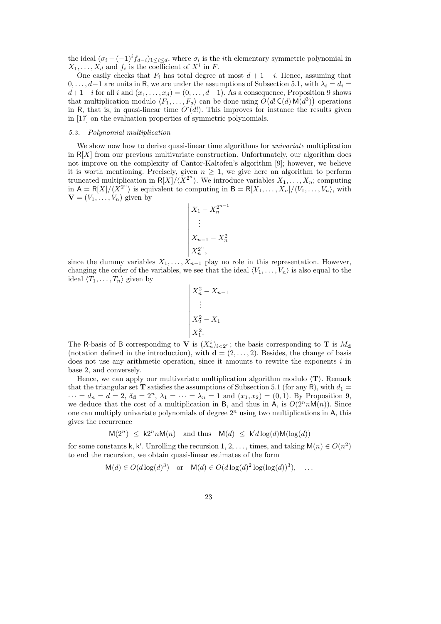the ideal  $(\sigma_i - (-1)^i f_{d-i})_{1 \leq i \leq d}$ , where  $\sigma_i$  is the *i*th elementary symmetric polynomial in  $X_1, \ldots, X_d$  and  $f_i$  is the coefficient of  $X^i$  in F.

One easily checks that  $F_i$  has total degree at most  $d + 1 - i$ . Hence, assuming that  $0, \ldots, d-1$  are units in R, we are under the assumptions of Subsection 5.1, with  $\lambda_i = d_i =$  $d+1-i$  for all i and  $(x_1,\ldots,x_d)=(0,\ldots,d-1)$ . As a consequence, Proposition 9 shows that multiplication modulo  $\langle F_1, \ldots, F_d \rangle$  can be done using  $O(d! \mathsf{C}(d) \mathsf{M}(d^3))$  operations in R, that is, in quasi-linear time  $O^{\sim}(d!)$ . This improves for instance the results given in [17] on the evaluation properties of symmetric polynomials.

#### 5.3. Polynomial multiplication

We show now how to derive quasi-linear time algorithms for *univariate* multiplication in  $R[X]$  from our previous multivariate construction. Unfortunately, our algorithm does not improve on the complexity of Cantor-Kaltofen's algorithm [9]; however, we believe it is worth mentioning. Precisely, given  $n \geq 1$ , we give here an algorithm to perform truncated multiplication in  $R[X]/\langle X^{2^n}\rangle$ . We introduce variables  $X_1, \ldots, X_n$ ; computing in  $A = R[X]/\langle X^{2^n} \rangle$  is equivalent to computing in  $B = R[X_1, \ldots, X_n]/\langle V_1, \ldots, V_n \rangle$ , with  $\mathbf{V} = (V_1, \ldots, V_n)$  given by

$$
\begin{vmatrix} X_1 - X_n^{2^{n-1}} \\ \vdots \\ X_{n-1} - X_n^2 \\ X_n^{2^n}, \end{vmatrix}
$$

since the dummy variables  $X_1, \ldots, X_{n-1}$  play no role in this representation. However, changing the order of the variables, we see that the ideal  $\langle V_1, \ldots, V_n \rangle$  is also equal to the ideal  $\langle T_1, \ldots, T_n \rangle$  given by

$$
\begin{vmatrix} X_n^2 - X_{n-1} \\ \vdots \\ X_2^2 - X_1 \\ X_1^2. \end{vmatrix}
$$

The R-basis of B corresponding to V is  $(X_n^i)_{i\leq 2^n}$ ; the basis corresponding to T is  $M_d$ (notation defined in the introduction), with  $\mathbf{d} = (2, \ldots, 2)$ . Besides, the change of basis does not use any arithmetic operation, since it amounts to rewrite the exponents i in base 2, and conversely.

Hence, we can apply our multivariate multiplication algorithm modulo  $\langle T \rangle$ . Remark that the triangular set **T** satisfies the assumptions of Subsection 5.1 (for any R), with  $d_1 =$  $\cdots = d_n = d = 2, \, \delta_d = 2^n, \, \lambda_1 = \cdots = \lambda_n = 1$  and  $(x_1, x_2) = (0, 1)$ . By Proposition 9, we deduce that the cost of a multiplication in B, and thus in A, is  $O(2^n n \mathsf{M}(n))$ . Since one can multiply univariate polynomials of degree  $2<sup>n</sup>$  using two multiplications in A, this gives the recurrence

$$
M(2^n) \le k2^n n M(n) \text{ and thus } M(d) \le k'd \log(d) M(\log(d))
$$

for some constants k, k'. Unrolling the recursion 1, 2, ..., times, and taking  $M(n) \in O(n^2)$ to end the recursion, we obtain quasi-linear estimates of the form

$$
M(d) \in O(d \log(d)^3) \quad \text{or} \quad M(d) \in O(d \log(d)^2 \log(\log(d))^3), \quad \dots
$$

23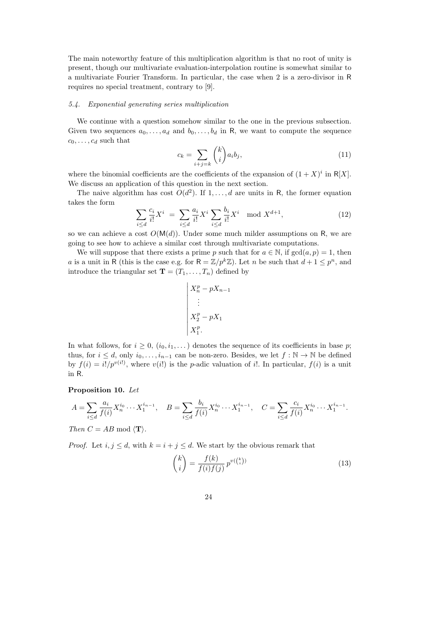The main noteworthy feature of this multiplication algorithm is that no root of unity is present, though our multivariate evaluation-interpolation routine is somewhat similar to a multivariate Fourier Transform. In particular, the case when 2 is a zero-divisor in R requires no special treatment, contrary to [9].

#### 5.4. Exponential generating series multiplication

We continue with a question somehow similar to the one in the previous subsection. Given two sequences  $a_0, \ldots, a_d$  and  $b_0, \ldots, b_d$  in R, we want to compute the sequence  $c_0, \ldots, c_d$  such that

$$
c_k = \sum_{i+j=k} \binom{k}{i} a_i b_j,\tag{11}
$$

where the binomial coefficients are the coefficients of the expansion of  $(1 + X)^i$  in R[X]. We discuss an application of this question in the next section.

The naive algorithm has cost  $O(d^2)$ . If  $1, \ldots, d$  are units in R, the former equation takes the form

$$
\sum_{i \le d} \frac{c_i}{i!} X^i \ = \ \sum_{i \le d} \frac{a_i}{i!} X^i \sum_{i \le d} \frac{b_i}{i!} X^i \mod X^{d+1},\tag{12}
$$

so we can achieve a cost  $O(M(d))$ . Under some much milder assumptions on R, we are going to see how to achieve a similar cost through multivariate computations.

We will suppose that there exists a prime p such that for  $a \in \mathbb{N}$ , if  $gcd(a, p) = 1$ , then a is a unit in R (this is the case e.g. for  $R = \mathbb{Z}/p^k\mathbb{Z}$ ). Let n be such that  $d+1 \leq p^n$ , and introduce the triangular set  $\mathbf{T} = (T_1, \ldots, T_n)$  defined by

$$
\begin{vmatrix} X_n^p - pX_{n-1} \\ \vdots \\ X_2^p - pX_1 \\ X_1^p. \end{vmatrix}
$$

In what follows, for  $i \geq 0$ ,  $(i_0, i_1, \dots)$  denotes the sequence of its coefficients in base p; thus, for  $i \leq d$ , only  $i_0, \ldots, i_{n-1}$  can be non-zero. Besides, we let  $f : \mathbb{N} \to \mathbb{N}$  be defined by  $f(i) = i! / p^{v(i)}$ , where  $v(i!)$  is the *p*-adic valuation of i!. In particular,  $f(i)$  is a unit in R.

#### Proposition 10. Let

$$
A = \sum_{i \le d} \frac{a_i}{f(i)} X_n^{i_0} \cdots X_1^{i_{n-1}}, \quad B = \sum_{i \le d} \frac{b_i}{f(i)} X_n^{i_0} \cdots X_1^{i_{n-1}}, \quad C = \sum_{i \le d} \frac{c_i}{f(i)} X_n^{i_0} \cdots X_1^{i_{n-1}}.
$$

Then  $C = AB \text{ mod } \langle \mathbf{T} \rangle$ .

*Proof.* Let  $i, j \leq d$ , with  $k = i + j \leq d$ . We start by the obvious remark that

$$
\binom{k}{i} = \frac{f(k)}{f(i)f(j)} p^{v(\binom{k}{i})} \tag{13}
$$

24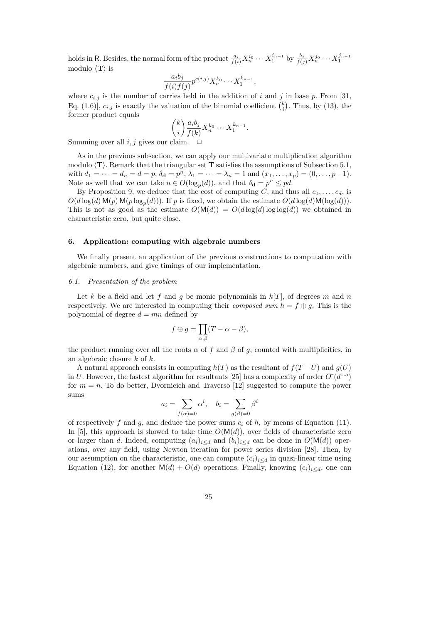holds in R. Besides, the normal form of the product  $\frac{a_i}{f(i)}X_n^{i_0}\cdots X_1^{i_{n-1}}$  by  $\frac{b_j}{f(j)}X_n^{j_0}\cdots X_1^{j_{n-1}}$ modulo  $\langle T \rangle$  is

$$
\frac{a_i b_j}{f(i) f(j)} p^{c(i,j)} X_n^{k_0} \cdots X_1^{k_{n-1}},
$$

where  $c_{i,j}$  is the number of carries held in the addition of i and j in base p. From [31, Eq. (1.6)],  $c_{i,j}$  is exactly the valuation of the binomial coefficient  $\binom{k}{i}$ . Thus, by (13), the former product equals

$$
\binom{k}{i} \frac{a_i b_j}{f(k)} X_n^{k_0} \cdots X_1^{k_{n-1}}
$$

.

Summing over all  $i, j$  gives our claim.  $\Box$ 

As in the previous subsection, we can apply our multivariate multiplication algorithm modulo  $\langle T \rangle$ . Remark that the triangular set T satisfies the assumptions of Subsection 5.1, with  $d_1 = \cdots = d_n = d = p$ ,  $\delta_{\mathbf{d}} = p^n$ ,  $\lambda_1 = \cdots = \lambda_n = 1$  and  $(x_1, \ldots, x_p) = (0, \ldots, p-1)$ . Note as well that we can take  $n \in O(\log_p(d))$ , and that  $\delta_{\mathbf{d}} = p^n \leq pd$ .

By Proposition 9, we deduce that the cost of computing C, and thus all  $c_0, \ldots, c_d$ , is  $O(d \log(d) \mathsf{M}(p) \mathsf{M}(p \log_p(d)))$ . If p is fixed, we obtain the estimate  $O(d \log(d) \mathsf{M}(\log(d)))$ . This is not as good as the estimate  $O(M(d)) = O(d \log(d) \log \log(d))$  we obtained in characteristic zero, but quite close.

#### 6. Application: computing with algebraic numbers

We finally present an application of the previous constructions to computation with algebraic numbers, and give timings of our implementation.

#### 6.1. Presentation of the problem

Let k be a field and let f and g be monic polynomials in  $k[T]$ , of degrees m and n respectively. We are interested in computing their *composed sum*  $h = f \oplus q$ . This is the polynomial of degree  $d = mn$  defined by

$$
f \oplus g = \prod_{\alpha,\beta} (T - \alpha - \beta),
$$

the product running over all the roots  $\alpha$  of f and  $\beta$  of g, counted with multiplicities, in an algebraic closure k of k.

A natural approach consists in computing  $h(T)$  as the resultant of  $f(T-U)$  and  $g(U)$ in U. However, the fastest algorithm for resultants [25] has a complexity of order  $O^*(d^{1.5})$ for  $m = n$ . To do better, Dvornicich and Traverso [12] suggested to compute the power sums

$$
a_i = \sum_{f(\alpha)=0} \alpha^i, \quad b_i = \sum_{g(\beta)=0} \beta^i
$$

of respectively f and g, and deduce the power sums  $c_i$  of h, by means of Equation (11). In [5], this approach is showed to take time  $O(M(d))$ , over fields of characteristic zero or larger than d. Indeed, computing  $(a_i)_{i\leq d}$  and  $(b_i)_{i\leq d}$  can be done in  $O(\mathsf{M}(d))$  operations, over any field, using Newton iteration for power series division [28]. Then, by our assumption on the characteristic, one can compute  $(c_i)_{i\leq d}$  in quasi-linear time using Equation (12), for another  $M(d) + O(d)$  operations. Finally, knowing  $(c_i)_{i \leq d}$ , one can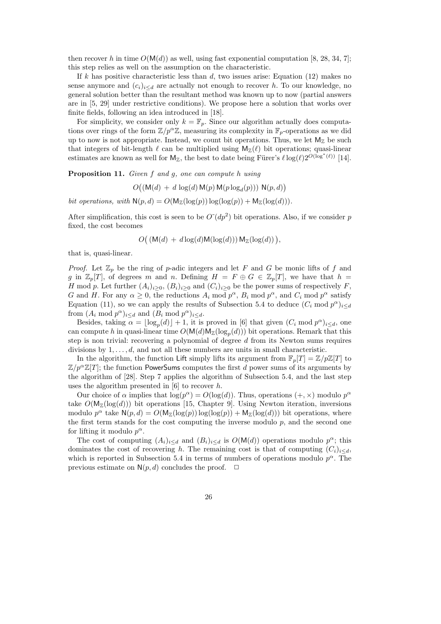then recover h in time  $O(M(d))$  as well, using fast exponential computation [8, 28, 34, 7]; this step relies as well on the assumption on the characteristic.

If k has positive characteristic less than  $d$ , two issues arise: Equation (12) makes no sense anymore and  $(c_i)_{i\leq d}$  are actually not enough to recover h. To our knowledge, no general solution better than the resultant method was known up to now (partial answers are in [5, 29] under restrictive conditions). We propose here a solution that works over finite fields, following an idea introduced in [18].

For simplicity, we consider only  $k = \mathbb{F}_p$ . Since our algorithm actually does computations over rings of the form  $\mathbb{Z}/p^{\alpha}\mathbb{Z}$ , measuring its complexity in  $\mathbb{F}_p$ -operations as we did up to now is not appropriate. Instead, we count bit operations. Thus, we let  $M_{\mathbb{Z}}$  be such that integers of bit-length  $\ell$  can be multiplied using  $M_{\mathbb{Z}}(\ell)$  bit operations; quasi-linear estimates are known as well for  $M_{\mathbb{Z}}$ , the best to date being Fürer's  $\ell \log(\ell)2^{O(\log^*(\ell))}$  [14].

Proposition 11. Given f and g, one can compute h using

$$
O((\mathsf{M}(d) + d \log(d) \mathsf{M}(p) \mathsf{M}(p \log_d(p))) \mathsf{N}(p, d))
$$

bit operations, with  $N(p, d) = O(M_Z(\log(p)) \log(\log(p)) + M_Z(\log(d))).$ 

After simplification, this cost is seen to be  $O^-(dp^2)$  bit operations. Also, if we consider p fixed, the cost becomes

$$
O((\mathsf{M}(d) + d \log(d) \mathsf{M}(\log(d))) \mathsf{M}_{\mathbb{Z}}(\log(d))),
$$

that is, quasi-linear.

*Proof.* Let  $\mathbb{Z}_p$  be the ring of p-adic integers and let F and G be monic lifts of f and g in  $\mathbb{Z}_p[T]$ , of degrees m and n. Defining  $H = F \oplus G \in \mathbb{Z}_p[T]$ , we have that  $h =$ H mod p. Let further  $(A_i)_{i>0}$ ,  $(B_i)_{i>0}$  and  $(C_i)_{i>0}$  be the power sums of respectively F, G and H. For any  $\alpha \geq 0$ , the reductions  $A_i \mod p^{\alpha}$ ,  $B_i \mod p^{\alpha}$ , and  $C_i \mod p^{\alpha}$  satisfy Equation (11), so we can apply the results of Subsection 5.4 to deduce  $(C_i \mod p^{\alpha})_{i \leq d}$ from  $(A_i \mod p^\alpha)_{i \leq d}$  and  $(B_i \mod p^\alpha)_{i \leq d}$ .

Besides, taking  $\alpha = \lfloor \log_p(d) \rfloor + 1$ , it is proved in [6] that given  $(C_i \mod p^{\alpha})_{i \leq d}$ , one can compute h in quasi-linear time  $O(\mathsf{M}(d)\mathsf{M}_{\mathbb{Z}}(\log_p(d)))$  bit operations. Remark that this step is non trivial: recovering a polynomial of degree  $d$  from its Newton sums requires divisions by  $1, \ldots, d$ , and not all these numbers are units in small characteristic.

In the algorithm, the function Lift simply lifts its argument from  $\mathbb{F}_p[T] = \mathbb{Z}/p\mathbb{Z}[T]$  to  $\mathbb{Z}/p^{\alpha}\mathbb{Z}[T]$ ; the function PowerSums computes the first d power sums of its arguments by the algorithm of [28]. Step 7 applies the algorithm of Subsection 5.4, and the last step uses the algorithm presented in  $[6]$  to recover h.

Our choice of  $\alpha$  implies that  $\log(p^{\alpha}) = O(\log(d))$ . Thus, operations  $(+, \times)$  modulo  $p^{\alpha}$ take  $O(\mathsf{M}_{\mathbb{Z}}(\log(d)))$  bit operations [15, Chapter 9]. Using Newton iteration, inversions modulo  $p^{\alpha}$  take  $\mathsf{N}(p,d) = O(\mathsf{M}_{\mathbb{Z}}(\log(p)) \log(\log(p)) + \mathsf{M}_{\mathbb{Z}}(\log(d)))$  bit operations, where the first term stands for the cost computing the inverse modulo  $p$ , and the second one for lifting it modulo  $p^{\alpha}$ .

The cost of computing  $(A_i)_{i\leq d}$  and  $(B_i)_{i\leq d}$  is  $O(\mathsf{M}(d))$  operations modulo  $p^{\alpha}$ ; this dominates the cost of recovering h. The remaining cost is that of computing  $(C_i)_{i\leq d}$ , which is reported in Subsection 5.4 in terms of numbers of operations modulo  $p^{\alpha}$ . The previous estimate on  $N(p, d)$  concludes the proof.  $\Box$ 

26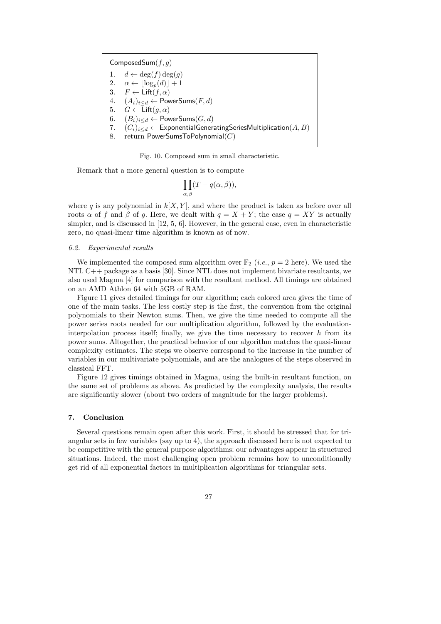ComposedSum $(f, g)$ 1.  $d \leftarrow \deg(f) \deg(g)$ 2.  $\alpha \leftarrow \lfloor \log_p(d) \rfloor + 1$ 3.  $F \leftarrow \mathsf{Lift}(f, \alpha)$ 4.  $(A_i)_{i \le d} \leftarrow$  PowerSums $(F, d)$ 5.  $G \leftarrow \text{Lift}(q, \alpha)$ 6.  $(B_i)_{i \leq d} \leftarrow PowerSums(G, d)$ 7.  $(C_i)_{i\leq d} \leftarrow$  Exponential Generating Series Multiplication  $(A, B)$ 8. return PowerSumsToPolynomial $(C)$ 

Fig. 10. Composed sum in small characteristic.

Remark that a more general question is to compute

$$
\prod_{\alpha,\beta}(T-q(\alpha,\beta)),
$$

where q is any polynomial in  $k[X, Y]$ , and where the product is taken as before over all roots  $\alpha$  of f and  $\beta$  of g. Here, we dealt with  $q = X + Y$ ; the case  $q = XY$  is actually simpler, and is discussed in [12, 5, 6]. However, in the general case, even in characteristic zero, no quasi-linear time algorithm is known as of now.

#### 6.2. Experimental results

We implemented the composed sum algorithm over  $\mathbb{F}_2$  (*i.e.*,  $p = 2$  here). We used the NTL C++ package as a basis [30]. Since NTL does not implement bivariate resultants, we also used Magma [4] for comparison with the resultant method. All timings are obtained on an AMD Athlon 64 with 5GB of RAM.

Figure 11 gives detailed timings for our algorithm; each colored area gives the time of one of the main tasks. The less costly step is the first, the conversion from the original polynomials to their Newton sums. Then, we give the time needed to compute all the power series roots needed for our multiplication algorithm, followed by the evaluationinterpolation process itself; finally, we give the time necessary to recover  $h$  from its power sums. Altogether, the practical behavior of our algorithm matches the quasi-linear complexity estimates. The steps we observe correspond to the increase in the number of variables in our multivariate polynomials, and are the analogues of the steps observed in classical FFT.

Figure 12 gives timings obtained in Magma, using the built-in resultant function, on the same set of problems as above. As predicted by the complexity analysis, the results are significantly slower (about two orders of magnitude for the larger problems).

#### 7. Conclusion

Several questions remain open after this work. First, it should be stressed that for triangular sets in few variables (say up to 4), the approach discussed here is not expected to be competitive with the general purpose algorithms: our advantages appear in structured situations. Indeed, the most challenging open problem remains how to unconditionally get rid of all exponential factors in multiplication algorithms for triangular sets.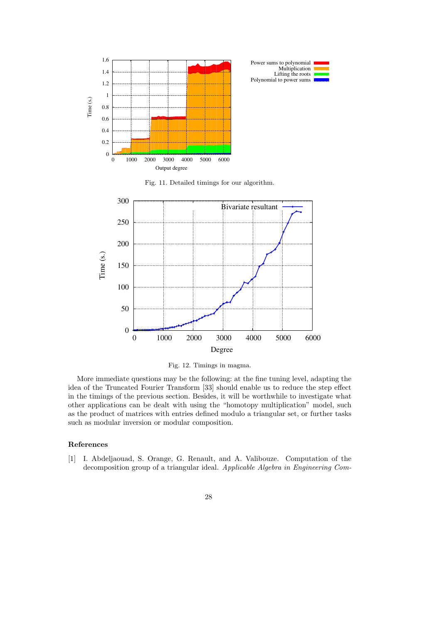

Fig. 11. Detailed timings for our algorithm.



Fig. 12. Timings in magma.

More immediate questions may be the following: at the fine tuning level, adapting the idea of the Truncated Fourier Transform [33] should enable us to reduce the step effect in the timings of the previous section. Besides, it will be worthwhile to investigate what other applications can be dealt with using the "homotopy multiplication" model, such as the product of matrices with entries defined modulo a triangular set, or further tasks such as modular inversion or modular composition.

#### References

[1] I. Abdeljaouad, S. Orange, G. Renault, and A. Valibouze. Computation of the decomposition group of a triangular ideal. Applicable Algebra in Engineering Com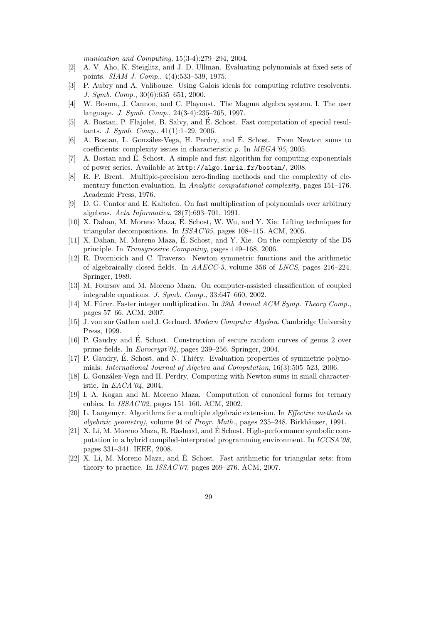munication and Computing, 15(3-4):279–294, 2004.

- [2] A. V. Aho, K. Steiglitz, and J. D. Ullman. Evaluating polynomials at fixed sets of points. SIAM J. Comp., 4(4):533–539, 1975.
- [3] P. Aubry and A. Valibouze. Using Galois ideals for computing relative resolvents. J. Symb. Comp., 30(6):635–651, 2000.
- [4] W. Bosma, J. Cannon, and C. Playoust. The Magma algebra system. I. The user language. J. Symb. Comp., 24(3-4):235–265, 1997.
- [5] A. Bostan, P. Flajolet, B. Salvy, and E. Schost. Fast computation of special resul- ´ tants. J. Symb. Comp., 41(1):1–29, 2006.
- [6] A. Bostan, L. Gonz´alez-Vega, H. Perdry, and E. Schost. From Newton sums to ´ coefficients: complexity issues in characteristic p. In MEGA'05, 2005.
- [7] A. Bostan and E. Schost. A simple and fast algorithm for computing exponentials ´ of power series. Available at http://algo.inria.fr/bostan/, 2008.
- [8] R. P. Brent. Multiple-precision zero-finding methods and the complexity of elementary function evaluation. In Analytic computational complexity, pages 151–176. Academic Press, 1976.
- [9] D. G. Cantor and E. Kaltofen. On fast multiplication of polynomials over arbitrary algebras. Acta Informatica, 28(7):693–701, 1991.
- [10] X. Dahan, M. Moreno Maza, E. Schost, W. Wu, and Y. Xie. Lifting techniques for ´ triangular decompositions. In ISSAC'05, pages 108–115. ACM, 2005.
- [11] X. Dahan, M. Moreno Maza, E. Schost, and Y. Xie. On the complexity of the D5 ´ principle. In Transgressive Computing, pages 149–168, 2006.
- [12] R. Dvornicich and C. Traverso. Newton symmetric functions and the arithmetic of algebraically closed fields. In AAECC-5, volume 356 of LNCS, pages 216–224. Springer, 1989.
- [13] M. Foursov and M. Moreno Maza. On computer-assisted classification of coupled integrable equations. J. Symb. Comp., 33:647–660, 2002.
- [14] M. Fürer. Faster integer multiplication. In 39th Annual ACM Symp. Theory Comp., pages 57–66. ACM, 2007.
- [15] J. von zur Gathen and J. Gerhard. Modern Computer Algebra. Cambridge University Press, 1999.
- [16] P. Gaudry and E. Schost. Construction of secure random curves of genus 2 over ´ prime fields. In Eurocrypt'04, pages 239–256. Springer, 2004.
- [17] P. Gaudry, É. Schost, and N. Thiéry. Evaluation properties of symmetric polynomials. International Journal of Algebra and Computation, 16(3):505–523, 2006.
- [18] L. González-Vega and H. Perdry. Computing with Newton sums in small characteristic. In EACA'04, 2004.
- [19] I. A. Kogan and M. Moreno Maza. Computation of canonical forms for ternary cubics. In ISSAC'02, pages 151–160. ACM, 2002.
- [20] L. Langemyr. Algorithms for a multiple algebraic extension. In Effective methods in algebraic geometry), volume 94 of Progr. Math., pages  $235-248$ . Birkhäuser, 1991.
- [21] X. Li, M. Moreno Maza, R. Rasheed, and E Schost. High-performance symbolic com- ´ putation in a hybrid compiled-interpreted programming environment. In ICCSA'08, pages 331–341. IEEE, 2008.
- [22] X. Li, M. Moreno Maza, and E. Schost. Fast arithmetic for triangular sets: from ´ theory to practice. In ISSAC'07, pages 269–276. ACM, 2007.
	- 29